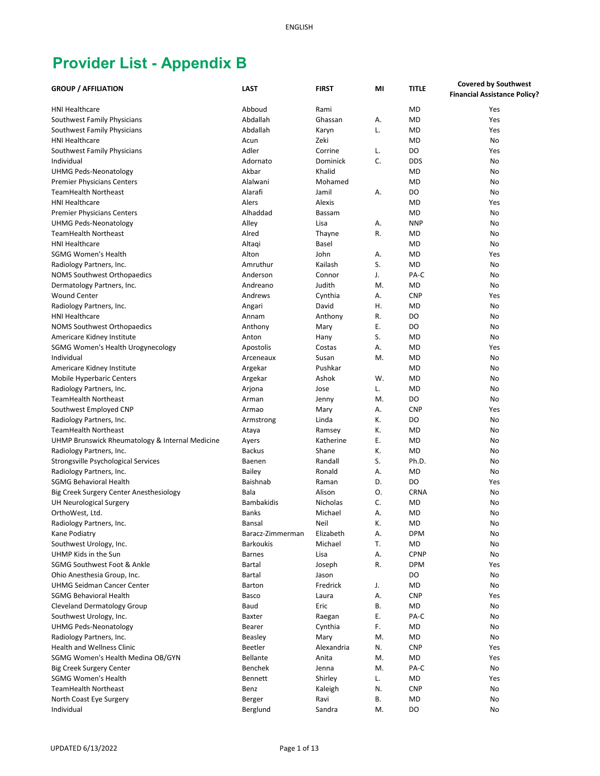| <b>GROUP / AFFILIATION</b>                                    | <b>LAST</b>                          | <b>FIRST</b>              | MI       | <b>TITLE</b>            | <b>Covered by Southwest</b>         |
|---------------------------------------------------------------|--------------------------------------|---------------------------|----------|-------------------------|-------------------------------------|
|                                                               |                                      |                           |          |                         | <b>Financial Assistance Policy?</b> |
| <b>HNI Healthcare</b>                                         | Abboud                               | Rami                      |          | <b>MD</b>               | Yes                                 |
| Southwest Family Physicians                                   | Abdallah                             | Ghassan                   | А.       | <b>MD</b>               | Yes                                 |
| Southwest Family Physicians                                   | Abdallah                             | Karyn                     | L.       | <b>MD</b>               | Yes                                 |
| <b>HNI Healthcare</b>                                         | Acun                                 | Zeki                      |          | <b>MD</b>               | No                                  |
| Southwest Family Physicians                                   | Adler                                | Corrine                   | L.       | DO                      | Yes                                 |
| Individual                                                    | Adornato                             | Dominick                  | C.       | <b>DDS</b>              | No                                  |
| <b>UHMG Peds-Neonatology</b>                                  | Akbar                                | Khalid                    |          | <b>MD</b>               | No                                  |
| <b>Premier Physicians Centers</b>                             | Alalwani                             | Mohamed                   |          | <b>MD</b>               | No                                  |
| <b>TeamHealth Northeast</b>                                   | Alarafi                              | Jamil                     | А.       | DO                      | No                                  |
| <b>HNI Healthcare</b>                                         | Alers                                | Alexis                    |          | <b>MD</b>               | Yes                                 |
| <b>Premier Physicians Centers</b>                             | Alhaddad                             | Bassam                    |          | <b>MD</b>               | No                                  |
| <b>UHMG Peds-Neonatology</b>                                  | Alley                                | Lisa                      | А.       | <b>NNP</b>              | No                                  |
| <b>TeamHealth Northeast</b>                                   | Alred                                | Thayne                    | R.       | MD                      | No                                  |
| <b>HNI Healthcare</b>                                         | Altagi                               | <b>Basel</b>              |          | <b>MD</b>               | No                                  |
| <b>SGMG Women's Health</b>                                    | Alton                                | John                      | А.       | <b>MD</b>               | Yes                                 |
| Radiology Partners, Inc.                                      | Amruthur                             | Kailash                   | S.       | <b>MD</b>               | No                                  |
| <b>NOMS Southwest Orthopaedics</b>                            | Anderson                             | Connor                    | J.       | PA-C                    | No                                  |
| Dermatology Partners, Inc.                                    | Andreano                             | Judith                    | M.       | <b>MD</b>               | No                                  |
| <b>Wound Center</b>                                           | Andrews                              | Cynthia                   |          | <b>CNP</b>              | Yes                                 |
|                                                               |                                      | David                     | А.<br>Η. | <b>MD</b>               | No                                  |
| Radiology Partners, Inc.<br><b>HNI Healthcare</b>             | Angari                               |                           | R.       | DO                      | No                                  |
|                                                               | Annam                                | Anthony                   | Ε.       | DO                      | No                                  |
| <b>NOMS Southwest Orthopaedics</b>                            | Anthony                              | Mary                      | S.       | <b>MD</b>               |                                     |
| Americare Kidney Institute                                    | Anton                                | Hany                      |          |                         | No                                  |
| SGMG Women's Health Urogynecology                             | Apostolis                            | Costas                    | А.       | <b>MD</b>               | Yes                                 |
| Individual                                                    | Arceneaux                            | Susan                     | M.       | <b>MD</b>               | No                                  |
| Americare Kidney Institute                                    | Argekar                              | Pushkar                   |          | <b>MD</b>               | No                                  |
| <b>Mobile Hyperbaric Centers</b>                              | Argekar                              | Ashok                     | W.       | <b>MD</b>               | No                                  |
| Radiology Partners, Inc.                                      | Arjona                               | Jose                      | L.       | <b>MD</b>               | No                                  |
| <b>TeamHealth Northeast</b>                                   | Arman                                | Jenny                     | M.       | DO                      | No                                  |
| Southwest Employed CNP                                        | Armao                                | Mary                      | А.       | <b>CNP</b>              | Yes                                 |
| Radiology Partners, Inc.                                      | Armstrong                            | Linda                     | К.       | DO                      | No                                  |
| <b>TeamHealth Northeast</b>                                   | Ataya                                | Ramsey                    | К.       | <b>MD</b>               | No                                  |
| UHMP Brunswick Rheumatology & Internal Medicine               | Ayers                                | Katherine<br>Shane        | Ε.       | <b>MD</b>               | No                                  |
| Radiology Partners, Inc.                                      | <b>Backus</b>                        | Randall                   | К.<br>S. | <b>MD</b>               | No                                  |
| Strongsville Psychological Services                           | Baenen                               |                           |          | Ph.D.                   | No                                  |
| Radiology Partners, Inc.                                      | <b>Bailey</b>                        | Ronald                    | А.       | <b>MD</b>               | No                                  |
| <b>SGMG Behavioral Health</b>                                 | Baishnab                             | Raman                     | D.       | D <sub>O</sub>          | Yes                                 |
| Big Creek Surgery Center Anesthesiology                       | Bala<br><b>Bambakidis</b>            | Alison<br><b>Nicholas</b> | Ο.       | CRNA                    | No                                  |
| <b>UH Neurological Surgery</b>                                |                                      |                           | C.       | MD<br><b>MD</b>         | No                                  |
| OrthoWest, Ltd.                                               | <b>Banks</b>                         | Michael                   | А.       |                         | No                                  |
| Radiology Partners, Inc.                                      | Bansal                               | Neil                      | K.       | MD                      | No                                  |
| Kane Podiatry                                                 | Baracz-Zimmerman<br><b>Barkoukis</b> | Elizabeth<br>Michael      | А.<br>T. | <b>DPM</b><br><b>MD</b> | No                                  |
| Southwest Urology, Inc.<br>UHMP Kids in the Sun               | <b>Barnes</b>                        | Lisa                      |          | <b>CPNP</b>             | No<br>No                            |
| SGMG Southwest Foot & Ankle                                   | <b>Bartal</b>                        |                           | А.<br>R. | <b>DPM</b>              | Yes                                 |
| Ohio Anesthesia Group, Inc.                                   |                                      | Joseph                    |          | DO                      | No                                  |
| <b>UHMG Seidman Cancer Center</b>                             | Bartal<br>Barton                     | Jason<br>Fredrick         | J.       | MD                      | No                                  |
| <b>SGMG Behavioral Health</b>                                 | Basco                                | Laura                     | А.       | <b>CNP</b>              | Yes                                 |
|                                                               |                                      | Eric                      | В.       | MD                      |                                     |
| Cleveland Dermatology Group                                   | Baud                                 |                           | Ε.       | PA-C                    | No                                  |
| Southwest Urology, Inc.<br><b>UHMG Peds-Neonatology</b>       | Baxter<br>Bearer                     | Raegan<br>Cynthia         | F.       | MD                      | No<br>No                            |
|                                                               | Beasley                              | Mary                      | M.       | MD                      | No                                  |
| Radiology Partners, Inc.<br><b>Health and Wellness Clinic</b> |                                      |                           |          |                         |                                     |
| SGMG Women's Health Medina OB/GYN                             | <b>Beetler</b><br>Bellante           | Alexandria<br>Anita       | N.<br>M. | <b>CNP</b><br>MD        | Yes<br>Yes                          |
|                                                               | Benchek                              |                           | M.       |                         | No                                  |
| Big Creek Surgery Center<br><b>SGMG Women's Health</b>        | <b>Bennett</b>                       | Jenna<br>Shirley          | L.       | PA-C<br>MD              | Yes                                 |
| <b>TeamHealth Northeast</b>                                   | Benz                                 |                           |          |                         | No                                  |
|                                                               |                                      | Kaleigh                   | N.<br>В. | <b>CNP</b><br>MD        | No                                  |
| North Coast Eye Surgery<br>Individual                         | Berger<br>Berglund                   | Ravi<br>Sandra            | M.       | DO                      | No                                  |
|                                                               |                                      |                           |          |                         |                                     |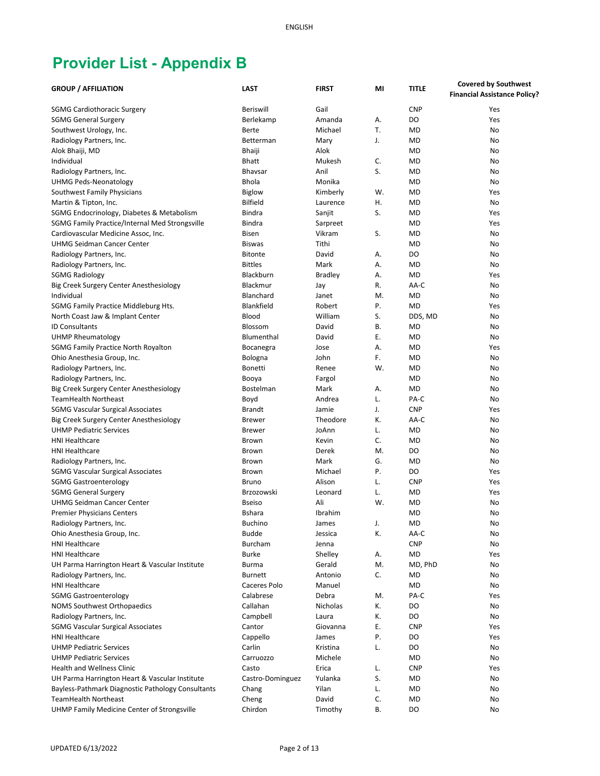| <b>GROUP / AFFILIATION</b>                                | <b>LAST</b>      | <b>FIRST</b>       | MI | <b>TITLE</b> | <b>Covered by Southwest</b>         |
|-----------------------------------------------------------|------------------|--------------------|----|--------------|-------------------------------------|
|                                                           |                  |                    |    |              | <b>Financial Assistance Policy?</b> |
| <b>SGMG Cardiothoracic Surgery</b>                        | Beriswill        | Gail               |    | <b>CNP</b>   | Yes                                 |
| <b>SGMG General Surgery</b>                               | Berlekamp        | Amanda             | А. | DO           | Yes                                 |
| Southwest Urology, Inc.                                   | Berte            | Michael            | T. | <b>MD</b>    | No                                  |
| Radiology Partners, Inc.                                  | Betterman        | Mary               | J. | <b>MD</b>    | No                                  |
| Alok Bhaiji, MD                                           | <b>Bhaiji</b>    | Alok               |    | <b>MD</b>    | No                                  |
| Individual                                                | <b>Bhatt</b>     | Mukesh             | C. | <b>MD</b>    | No                                  |
| Radiology Partners, Inc.                                  | <b>Bhavsar</b>   | Anil               | S. | <b>MD</b>    | No                                  |
| <b>UHMG Peds-Neonatology</b>                              | <b>Bhola</b>     | Monika             |    | <b>MD</b>    | No                                  |
| Southwest Family Physicians                               | <b>Biglow</b>    | Kimberly           | W. | <b>MD</b>    | Yes                                 |
| Martin & Tipton, Inc.                                     | <b>Bilfield</b>  | Laurence           | Η. | <b>MD</b>    | No                                  |
| SGMG Endocrinology, Diabetes & Metabolism                 | <b>Bindra</b>    | Sanjit             | S. | <b>MD</b>    | Yes                                 |
| SGMG Family Practice/Internal Med Strongsville            | Bindra           |                    |    | MD           | Yes                                 |
| Cardiovascular Medicine Assoc, Inc.                       | <b>Bisen</b>     | Sarpreet<br>Vikram | S. | <b>MD</b>    | No                                  |
| UHMG Seidman Cancer Center                                | <b>Biswas</b>    | Tithi              |    | <b>MD</b>    | No                                  |
|                                                           | <b>Bitonte</b>   | David              | А. | DO           | No                                  |
| Radiology Partners, Inc.                                  | <b>Bittles</b>   | Mark               | А. | MD           | No                                  |
| Radiology Partners, Inc.                                  | Blackburn        |                    | Α. | <b>MD</b>    | Yes                                 |
| <b>SGMG Radiology</b>                                     | Blackmur         | <b>Bradley</b>     |    | AA-C         |                                     |
| Big Creek Surgery Center Anesthesiology                   |                  | Jay                | R. |              | No                                  |
| Individual                                                | Blanchard        | Janet              | M. | <b>MD</b>    | No                                  |
| SGMG Family Practice Middleburg Hts.                      | Blankfield       | Robert             | Ρ. | <b>MD</b>    | Yes                                 |
| North Coast Jaw & Implant Center<br><b>ID Consultants</b> | Blood            | William            | S. | DDS, MD      | No                                  |
|                                                           | Blossom          | David              | В. | <b>MD</b>    | No                                  |
| <b>UHMP Rheumatology</b>                                  | Blumenthal       | David              | Ε. | <b>MD</b>    | No                                  |
| <b>SGMG Family Practice North Royalton</b>                | Bocanegra        | Jose               | А. | <b>MD</b>    | Yes                                 |
| Ohio Anesthesia Group, Inc.                               | Bologna          | John               | F. | <b>MD</b>    | No                                  |
| Radiology Partners, Inc.                                  | Bonetti          | Renee              | W. | <b>MD</b>    | No                                  |
| Radiology Partners, Inc.                                  | Booya            | Fargol             |    | <b>MD</b>    | No                                  |
| Big Creek Surgery Center Anesthesiology                   | Bostelman        | Mark               | А. | <b>MD</b>    | No                                  |
| <b>TeamHealth Northeast</b>                               | Boyd             | Andrea             | L. | PA-C         | No                                  |
| <b>SGMG Vascular Surgical Associates</b>                  | <b>Brandt</b>    | Jamie              | J. | <b>CNP</b>   | Yes                                 |
| Big Creek Surgery Center Anesthesiology                   | <b>Brewer</b>    | Theodore           | К. | AA-C         | No                                  |
| <b>UHMP Pediatric Services</b>                            | <b>Brewer</b>    | JoAnn              | L. | <b>MD</b>    | No                                  |
| <b>HNI Healthcare</b>                                     | Brown            | Kevin              | C. | <b>MD</b>    | No                                  |
| <b>HNI Healthcare</b>                                     | Brown            | Derek              | M. | DO           | No                                  |
| Radiology Partners, Inc.                                  | Brown            | Mark               | G. | <b>MD</b>    | No                                  |
| <b>SGMG Vascular Surgical Associates</b>                  | Brown            | Michael            | Ρ. | DO           | Yes                                 |
| <b>SGMG Gastroenterology</b>                              | <b>Bruno</b>     | Alison             | L. | <b>CNP</b>   | Yes                                 |
| <b>SGMG General Surgery</b>                               | Brzozowski       | Leonard            | L. | MD           | Yes                                 |
| <b>UHMG Seidman Cancer Center</b>                         | <b>Bseiso</b>    | Ali                | W. | MD           | No                                  |
| <b>Premier Physicians Centers</b>                         | <b>Bshara</b>    | Ibrahim            |    | <b>MD</b>    | No                                  |
| Radiology Partners, Inc.                                  | <b>Buchino</b>   | James              | J. | MD           | No                                  |
| Ohio Anesthesia Group, Inc.                               | <b>Budde</b>     | Jessica            | К. | AA-C         | No                                  |
| <b>HNI Healthcare</b>                                     | Burcham          | Jenna              |    | <b>CNP</b>   | No                                  |
| <b>HNI Healthcare</b>                                     | <b>Burke</b>     | Shelley            | А. | MD           | Yes                                 |
| UH Parma Harrington Heart & Vascular Institute            | <b>Burma</b>     | Gerald             | M. | MD, PhD      | No                                  |
| Radiology Partners, Inc.                                  | <b>Burnett</b>   | Antonio            | С. | MD           | No                                  |
| <b>HNI Healthcare</b>                                     | Caceres Polo     | Manuel             |    | MD           | No                                  |
| <b>SGMG Gastroenterology</b>                              | Calabrese        | Debra              | M. | PA-C         | Yes                                 |
| <b>NOMS Southwest Orthopaedics</b>                        | Callahan         | <b>Nicholas</b>    | К. | DO           | No                                  |
| Radiology Partners, Inc.                                  | Campbell         | Laura              | К. | DO           | No                                  |
| <b>SGMG Vascular Surgical Associates</b>                  | Cantor           | Giovanna           | Ε. | <b>CNP</b>   | Yes                                 |
| <b>HNI Healthcare</b><br><b>UHMP Pediatric Services</b>   | Cappello         | James              | Ρ. | DO           | Yes                                 |
|                                                           | Carlin           | Kristina           | L. | DO           | No                                  |
| <b>UHMP Pediatric Services</b>                            | Carruozzo        | Michele            |    | MD           | No                                  |
| <b>Health and Wellness Clinic</b>                         | Casto            | Erica              | L. | <b>CNP</b>   | Yes                                 |
| UH Parma Harrington Heart & Vascular Institute            | Castro-Dominguez | Yulanka            | S. | MD           | No                                  |
| Bayless-Pathmark Diagnostic Pathology Consultants         | Chang            | Yilan              | L. | MD           | No                                  |
| <b>TeamHealth Northeast</b>                               | Cheng            | David              | C. | MD           | No                                  |
| UHMP Family Medicine Center of Strongsville               | Chirdon          | Timothy            | В. | DO           | No                                  |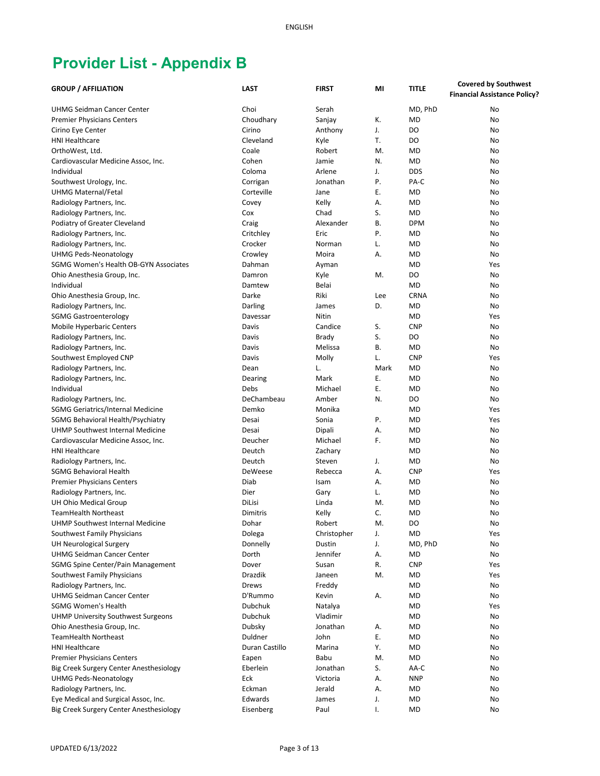|                                           |                |                   |          |                         | <b>Covered by Southwest</b>         |
|-------------------------------------------|----------------|-------------------|----------|-------------------------|-------------------------------------|
| <b>GROUP / AFFILIATION</b>                | <b>LAST</b>    | <b>FIRST</b>      | MI       | <b>TITLE</b>            | <b>Financial Assistance Policy?</b> |
| <b>UHMG Seidman Cancer Center</b>         | Choi           | Serah             |          | MD, PhD                 | No                                  |
| <b>Premier Physicians Centers</b>         | Choudhary      | Sanjay            | К.       | <b>MD</b>               | No                                  |
| Cirino Eye Center                         | Cirino         | Anthony           | J.       | DO                      | No                                  |
| <b>HNI Healthcare</b>                     | Cleveland      | Kyle              | T.       | DO                      | No                                  |
| OrthoWest, Ltd.                           | Coale          | Robert            | M.       | <b>MD</b>               | No                                  |
| Cardiovascular Medicine Assoc, Inc.       | Cohen          | Jamie             | N.       | <b>MD</b>               | No                                  |
| Individual                                | Coloma         | Arlene            | J.       | <b>DDS</b>              | No                                  |
| Southwest Urology, Inc.                   | Corrigan       | Jonathan          | Ρ.       | PA-C                    | No                                  |
| UHMG Maternal/Fetal                       | Corteville     | Jane              | Ε.       | <b>MD</b>               | No                                  |
| Radiology Partners, Inc.                  |                | Kelly             | А.       | <b>MD</b>               | No                                  |
|                                           | Covey          |                   |          |                         |                                     |
| Radiology Partners, Inc.                  | Cox            | Chad              | S.       | <b>MD</b>               | No                                  |
| Podiatry of Greater Cleveland             | Craig          | Alexander<br>Eric | В.<br>P. | <b>DPM</b><br><b>MD</b> | No                                  |
| Radiology Partners, Inc.                  | Critchley      |                   |          |                         | No                                  |
| Radiology Partners, Inc.                  | Crocker        | Norman            | L.       | <b>MD</b>               | No                                  |
| <b>UHMG Peds-Neonatology</b>              | Crowley        | Moira             | А.       | <b>MD</b>               | No                                  |
| SGMG Women's Health OB-GYN Associates     | Dahman         | Ayman             |          | MD                      | Yes                                 |
| Ohio Anesthesia Group, Inc.               | Damron         | Kyle              | M.       | DO                      | No                                  |
| Individual                                | Damtew         | Belai             |          | <b>MD</b>               | No                                  |
| Ohio Anesthesia Group, Inc.               | Darke          | Riki              | Lee      | <b>CRNA</b>             | No                                  |
| Radiology Partners, Inc.                  | Darling        | James             | D.       | <b>MD</b>               | No                                  |
| <b>SGMG Gastroenterology</b>              | Davessar       | Nitin             |          | <b>MD</b>               | Yes                                 |
| <b>Mobile Hyperbaric Centers</b>          | Davis          | Candice           | S.       | <b>CNP</b>              | No                                  |
| Radiology Partners, Inc.                  | Davis          | <b>Brady</b>      | S.       | DO                      | No                                  |
| Radiology Partners, Inc.                  | Davis          | Melissa           | В.       | <b>MD</b>               | No                                  |
| Southwest Employed CNP                    | Davis          | Molly             | L.       | <b>CNP</b>              | Yes                                 |
| Radiology Partners, Inc.                  | Dean           | L.                | Mark     | <b>MD</b>               | No                                  |
| Radiology Partners, Inc.                  | Dearing        | Mark              | Ε.       | <b>MD</b>               | No                                  |
| Individual                                | Debs           | Michael           | Ε.       | <b>MD</b>               | No                                  |
| Radiology Partners, Inc.                  | DeChambeau     | Amber             | N.       | DO                      | No                                  |
| SGMG Geriatrics/Internal Medicine         | Demko          | Monika            |          | <b>MD</b>               | Yes                                 |
| SGMG Behavioral Health/Psychiatry         | Desai          | Sonia             | Ρ.       | <b>MD</b>               | Yes                                 |
| UHMP Southwest Internal Medicine          | Desai          | Dipali            | А.       | <b>MD</b>               | No                                  |
| Cardiovascular Medicine Assoc, Inc.       | Deucher        | Michael           | F.       | <b>MD</b>               | No                                  |
| <b>HNI Healthcare</b>                     | Deutch         | Zachary           |          | <b>MD</b>               | No                                  |
| Radiology Partners, Inc.                  | Deutch         | Steven            | J.       | <b>MD</b>               | No                                  |
| <b>SGMG Behavioral Health</b>             | DeWeese        | Rebecca           | А.       | <b>CNP</b>              | Yes                                 |
| <b>Premier Physicians Centers</b>         | Diab           | Isam              | А.       | <b>MD</b>               | No                                  |
| Radiology Partners, Inc.                  | Dier           | Gary              | L.       | MD                      | No                                  |
| UH Ohio Medical Group                     | DiLisi         | Linda             | M.       | MD                      | No                                  |
| <b>TeamHealth Northeast</b>               | Dimitris       | Kelly             | C.       | <b>MD</b>               | No                                  |
| UHMP Southwest Internal Medicine          | Dohar          | Robert            | M.       | DO                      | No                                  |
| Southwest Family Physicians               | Dolega         | Christopher       | J.       | MD                      | Yes                                 |
| <b>UH Neurological Surgery</b>            | Donnelly       | Dustin            | J.       | MD, PhD                 | No                                  |
| <b>UHMG Seidman Cancer Center</b>         | Dorth          | Jennifer          | А.       | MD                      | No                                  |
| SGMG Spine Center/Pain Management         | Dover          | Susan             | R.       | <b>CNP</b>              | Yes                                 |
| Southwest Family Physicians               | <b>Drazdik</b> | Janeen            | M.       | MD                      | Yes                                 |
| Radiology Partners, Inc.                  | Drews          | Freddy            |          | <b>MD</b>               | No                                  |
| <b>UHMG Seidman Cancer Center</b>         | D'Rummo        | Kevin             | А.       | <b>MD</b>               | No                                  |
| <b>SGMG Women's Health</b>                | Dubchuk        | Natalya           |          | <b>MD</b>               | Yes                                 |
| <b>UHMP University Southwest Surgeons</b> | Dubchuk        | Vladimir          |          | <b>MD</b>               | No                                  |
| Ohio Anesthesia Group, Inc.               | Dubsky         | Jonathan          | А.       | <b>MD</b>               | No                                  |
| <b>TeamHealth Northeast</b>               | Duldner        | John              | Ε.       | <b>MD</b>               | No                                  |
| <b>HNI Healthcare</b>                     | Duran Castillo | Marina            | Υ.       | <b>MD</b>               | No                                  |
| <b>Premier Physicians Centers</b>         | Eapen          | Babu              | M.       | MD                      | No                                  |
| Big Creek Surgery Center Anesthesiology   | Eberlein       | Jonathan          | S.       | AA-C                    | No                                  |
| <b>UHMG Peds-Neonatology</b>              | Eck            | Victoria          | А.       | <b>NNP</b>              | No                                  |
| Radiology Partners, Inc.                  | Eckman         | Jerald            | А.       | <b>MD</b>               | No                                  |
| Eye Medical and Surgical Assoc, Inc.      | Edwards        | James             | J.       | <b>MD</b>               | No                                  |
| Big Creek Surgery Center Anesthesiology   | Eisenberg      | Paul              | I.       | <b>MD</b>               | No                                  |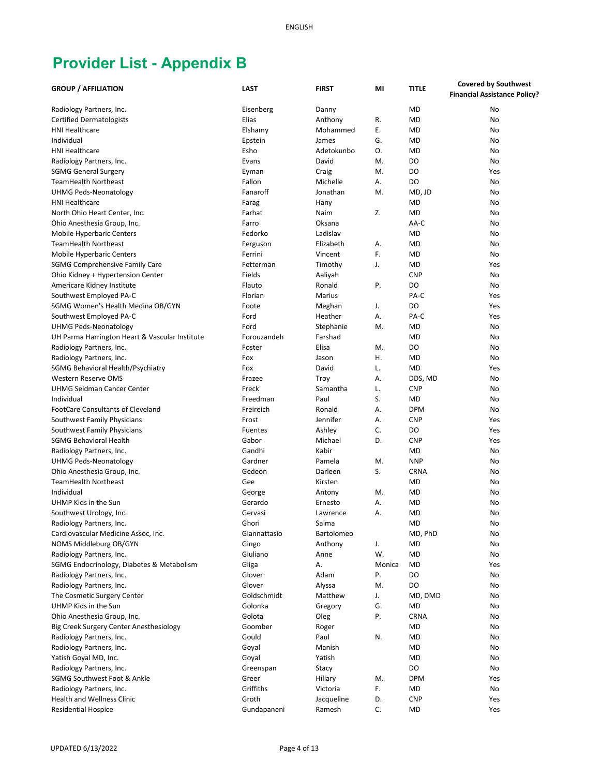| <b>GROUP / AFFILIATION</b>                     | <b>LAST</b>         | <b>FIRST</b> | MI     | <b>TITLE</b> | <b>Covered by Southwest</b>         |
|------------------------------------------------|---------------------|--------------|--------|--------------|-------------------------------------|
|                                                |                     |              |        |              | <b>Financial Assistance Policy?</b> |
| Radiology Partners, Inc.                       | Eisenberg           | Danny        |        | <b>MD</b>    | No                                  |
| <b>Certified Dermatologists</b>                | Elias               | Anthony      | R.     | <b>MD</b>    | No                                  |
| <b>HNI Healthcare</b>                          | Elshamy             | Mohammed     | Ε.     | <b>MD</b>    | No                                  |
| Individual                                     | Epstein             | James        | G.     | <b>MD</b>    | No                                  |
| <b>HNI Healthcare</b>                          | Esho                | Adetokunbo   | 0.     | <b>MD</b>    | No                                  |
| Radiology Partners, Inc.                       | Evans               | David        | M.     | DO           | No                                  |
| <b>SGMG General Surgery</b>                    | Eyman               | Craig        | М.     | DO           | Yes                                 |
| <b>TeamHealth Northeast</b>                    | Fallon              | Michelle     | Α.     | DO           | No                                  |
| <b>UHMG Peds-Neonatology</b>                   | Fanaroff            | Jonathan     | M.     | MD, JD       | No                                  |
| <b>HNI Healthcare</b>                          | Farag               | Hany         |        | <b>MD</b>    | No                                  |
| North Ohio Heart Center, Inc.                  | Farhat              | Naim         | Z.     | <b>MD</b>    | No                                  |
| Ohio Anesthesia Group, Inc.                    | Farro               | Oksana       |        | AA-C         | No                                  |
| <b>Mobile Hyperbaric Centers</b>               | Fedorko             | Ladislav     |        | MD           | No                                  |
| <b>TeamHealth Northeast</b>                    |                     | Elizabeth    | Α.     | <b>MD</b>    | No                                  |
| <b>Mobile Hyperbaric Centers</b>               | Ferguson<br>Ferrini | Vincent      | F.     | MD           | No                                  |
|                                                | Fetterman           | Timothy      | J.     | <b>MD</b>    | Yes                                 |
| <b>SGMG Comprehensive Family Care</b>          |                     |              |        |              |                                     |
| Ohio Kidney + Hypertension Center              | Fields              | Aaliyah      |        | <b>CNP</b>   | No                                  |
| Americare Kidney Institute                     | Flauto              | Ronald       | Ρ.     | DO           | No                                  |
| Southwest Employed PA-C                        | Florian             | Marius       |        | PA-C         | Yes                                 |
| SGMG Women's Health Medina OB/GYN              | Foote               | Meghan       | J.     | DO           | Yes                                 |
| Southwest Employed PA-C                        | Ford                | Heather      | Α.     | PA-C         | Yes                                 |
| <b>UHMG Peds-Neonatology</b>                   | Ford                | Stephanie    | M.     | <b>MD</b>    | No                                  |
| UH Parma Harrington Heart & Vascular Institute | Forouzandeh         | Farshad      |        | <b>MD</b>    | No                                  |
| Radiology Partners, Inc.                       | Foster              | Elisa        | М.     | DO           | No                                  |
| Radiology Partners, Inc.                       | Fox                 | Jason        | Η.     | <b>MD</b>    | No                                  |
| SGMG Behavioral Health/Psychiatry              | Fox                 | David        | L.     | <b>MD</b>    | Yes                                 |
| <b>Western Reserve OMS</b>                     | Frazee              | Troy         | А.     | DDS, MD      | No                                  |
| <b>UHMG Seidman Cancer Center</b>              | Freck               | Samantha     | L.     | <b>CNP</b>   | No                                  |
| Individual                                     | Freedman            | Paul         | S.     | <b>MD</b>    | No                                  |
| <b>FootCare Consultants of Cleveland</b>       | Freireich           | Ronald       | А.     | <b>DPM</b>   | No                                  |
| Southwest Family Physicians                    | Frost               | Jennifer     | Α.     | <b>CNP</b>   | Yes                                 |
| Southwest Family Physicians                    | Fuentes             | Ashley       | C.     | DO           | Yes                                 |
| <b>SGMG Behavioral Health</b>                  | Gabor               | Michael      | D.     | <b>CNP</b>   | Yes                                 |
| Radiology Partners, Inc.                       | Gandhi              | Kabir        |        | <b>MD</b>    | No                                  |
| <b>UHMG Peds-Neonatology</b>                   | Gardner             | Pamela       | M.     | <b>NNP</b>   | No                                  |
| Ohio Anesthesia Group, Inc.                    | Gedeon              | Darleen      | S.     | <b>CRNA</b>  | No                                  |
| <b>TeamHealth Northeast</b>                    | Gee                 | Kirsten      |        | <b>MD</b>    | No                                  |
| Individual                                     | George              | Antony       | M.     | MD           | No                                  |
| UHMP Kids in the Sun                           | Gerardo             | Ernesto      | А.     | MD           | No                                  |
| Southwest Urology, Inc.                        | Gervasi             | Lawrence     | А.     | <b>MD</b>    | No                                  |
| Radiology Partners, Inc.                       | Ghori               | Saima        |        | MD           | No                                  |
| Cardiovascular Medicine Assoc, Inc.            | Giannattasio        | Bartolomeo   |        | MD, PhD      | No                                  |
| NOMS Middleburg OB/GYN                         | Gingo               | Anthony      | J.     | <b>MD</b>    | No                                  |
| Radiology Partners, Inc.                       | Giuliano            | Anne         | W.     | <b>MD</b>    | No                                  |
| SGMG Endocrinology, Diabetes & Metabolism      | Gliga               | А.           | Monica | MD           | Yes                                 |
| Radiology Partners, Inc.                       | Glover              | Adam         | Ρ.     | DO           | No                                  |
| Radiology Partners, Inc.                       | Glover              | Alyssa       | M.     | DO           | No                                  |
| The Cosmetic Surgery Center                    | Goldschmidt         | Matthew      | J.     | MD, DMD      | No                                  |
| UHMP Kids in the Sun                           | Golonka             | Gregory      | G.     | <b>MD</b>    | No                                  |
| Ohio Anesthesia Group, Inc.                    | Golota              | Oleg         | Ρ.     | <b>CRNA</b>  | No                                  |
| Big Creek Surgery Center Anesthesiology        | Goomber             | Roger        |        | <b>MD</b>    | No                                  |
| Radiology Partners, Inc.                       | Gould               | Paul         | N.     | <b>MD</b>    | No                                  |
| Radiology Partners, Inc.                       | Goyal               | Manish       |        | <b>MD</b>    | No                                  |
| Yatish Goyal MD, Inc.                          | Goyal               | Yatish       |        | MD           | No                                  |
| Radiology Partners, Inc.                       | Greenspan           | Stacy        |        | DO           | No                                  |
| SGMG Southwest Foot & Ankle                    | Greer               | Hillary      | M.     | <b>DPM</b>   | Yes                                 |
| Radiology Partners, Inc.                       | Griffiths           | Victoria     | F.     | MD           | No                                  |
| Health and Wellness Clinic                     | Groth               | Jacqueline   | D.     | <b>CNP</b>   | Yes                                 |
| <b>Residential Hospice</b>                     | Gundapaneni         | Ramesh       | C.     | MD           | Yes                                 |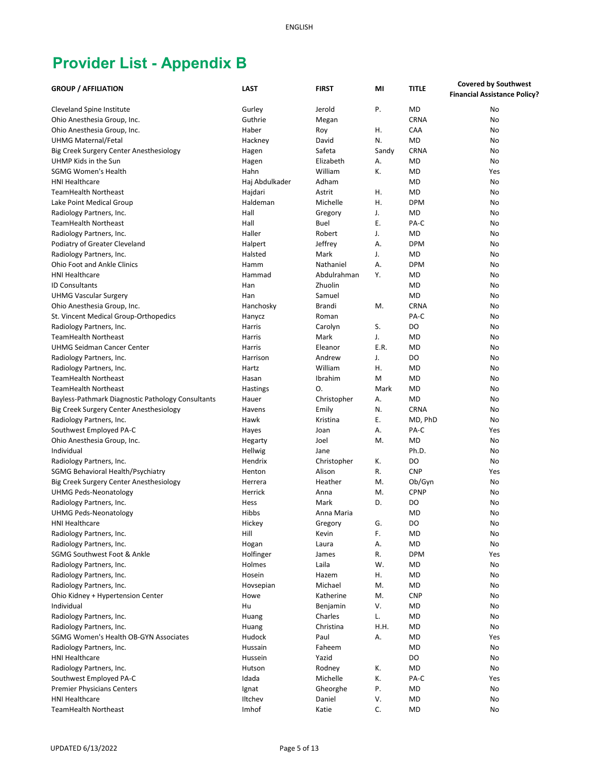| <b>GROUP / AFFILIATION</b>                                      | <b>LAST</b>    | <b>FIRST</b> | MI    | <b>TITLE</b>   | <b>Covered by Southwest</b>         |
|-----------------------------------------------------------------|----------------|--------------|-------|----------------|-------------------------------------|
|                                                                 |                |              |       |                | <b>Financial Assistance Policy?</b> |
| <b>Cleveland Spine Institute</b>                                | Gurley         | Jerold       | Ρ.    | <b>MD</b>      | No                                  |
| Ohio Anesthesia Group, Inc.                                     | Guthrie        | Megan        |       | <b>CRNA</b>    | No                                  |
| Ohio Anesthesia Group, Inc.                                     | Haber          | Roy          | Η.    | CAA            | No                                  |
| <b>UHMG Maternal/Fetal</b>                                      | Hackney        | David        | N.    | <b>MD</b>      | No                                  |
|                                                                 |                | Safeta       | Sandy | <b>CRNA</b>    | No                                  |
| Big Creek Surgery Center Anesthesiology<br>UHMP Kids in the Sun | Hagen          | Elizabeth    | А.    | <b>MD</b>      | No                                  |
| <b>SGMG Women's Health</b>                                      | Hagen<br>Hahn  | William      |       | <b>MD</b>      |                                     |
|                                                                 |                |              | К.    |                | Yes                                 |
| <b>HNI Healthcare</b>                                           | Haj Abdulkader | Adham        |       | <b>MD</b>      | No                                  |
| <b>TeamHealth Northeast</b>                                     | Hajdari        | Astrit       | Η.    | <b>MD</b>      | No                                  |
| Lake Point Medical Group                                        | Haldeman       | Michelle     | Η.    | <b>DPM</b>     | No                                  |
| Radiology Partners, Inc.                                        | Hall           | Gregory      | J.    | <b>MD</b>      | No                                  |
| <b>TeamHealth Northeast</b>                                     | Hall           | Buel         | Ε.    | PA-C           | No                                  |
| Radiology Partners, Inc.                                        | Haller         | Robert       | J.    | <b>MD</b>      | No                                  |
| Podiatry of Greater Cleveland                                   | Halpert        | Jeffrey      | А.    | <b>DPM</b>     | No                                  |
| Radiology Partners, Inc.                                        | Halsted        | Mark         | J.    | <b>MD</b>      | No                                  |
| <b>Ohio Foot and Ankle Clinics</b>                              | Hamm           | Nathaniel    | А.    | <b>DPM</b>     | No                                  |
| <b>HNI Healthcare</b>                                           | Hammad         | Abdulrahman  | Υ.    | <b>MD</b>      | No                                  |
| <b>ID Consultants</b>                                           | Han            | Zhuolin      |       | <b>MD</b>      | No                                  |
| <b>UHMG Vascular Surgery</b>                                    | Han            | Samuel       |       | <b>MD</b>      | No                                  |
| Ohio Anesthesia Group, Inc.                                     | Hanchosky      | Brandi       | M.    | <b>CRNA</b>    | No                                  |
| St. Vincent Medical Group-Orthopedics                           | Hanycz         | Roman        |       | PA-C           | No                                  |
| Radiology Partners, Inc.                                        | Harris         | Carolyn      | S.    | D <sub>O</sub> | No                                  |
| <b>TeamHealth Northeast</b>                                     | Harris         | Mark         | J.    | <b>MD</b>      | No                                  |
| <b>UHMG Seidman Cancer Center</b>                               | Harris         | Eleanor      | E.R.  | <b>MD</b>      | No                                  |
| Radiology Partners, Inc.                                        | Harrison       | Andrew       | J.    | DO             | No                                  |
| Radiology Partners, Inc.                                        | Hartz          | William      | Η.    | <b>MD</b>      | No                                  |
| <b>TeamHealth Northeast</b>                                     | Hasan          | Ibrahim      | M     | <b>MD</b>      | No                                  |
| <b>TeamHealth Northeast</b>                                     | Hastings       | О.           | Mark  | <b>MD</b>      | No                                  |
| Bayless-Pathmark Diagnostic Pathology Consultants               | Hauer          | Christopher  | А.    | <b>MD</b>      | No                                  |
| Big Creek Surgery Center Anesthesiology                         | Havens         | Emily        | N.    | <b>CRNA</b>    | No                                  |
| Radiology Partners, Inc.                                        | Hawk           | Kristina     | Е.    | MD, PhD        | No                                  |
| Southwest Employed PA-C                                         | Hayes          | Joan         | А.    | PA-C           | Yes                                 |
| Ohio Anesthesia Group, Inc.                                     | Hegarty        | Joel         | M.    | <b>MD</b>      | No                                  |
| Individual                                                      | Hellwig        | Jane         |       | Ph.D.          | No                                  |
| Radiology Partners, Inc.                                        | Hendrix        | Christopher  | К.    | D <sub>O</sub> | No                                  |
| SGMG Behavioral Health/Psychiatry                               | Henton         | Alison       | R.    | <b>CNP</b>     | Yes                                 |
| Big Creek Surgery Center Anesthesiology                         | Herrera        | Heather      | M.    | Ob/Gyn         | No                                  |
| <b>UHMG Peds-Neonatology</b>                                    | Herrick        | Anna         | M.    | <b>CPNP</b>    | No                                  |
| Radiology Partners, Inc.                                        | Hess           | Mark         | D.    | DO             | No                                  |
| <b>UHMG Peds-Neonatology</b>                                    | Hibbs          | Anna Maria   |       | <b>MD</b>      | No                                  |
| HNI Healthcare                                                  | Hickey         | Gregory      | G.    | DO             | No                                  |
| Radiology Partners, Inc.                                        | Hill           | Kevin        | F.    | MD             | No                                  |
| Radiology Partners, Inc.                                        | Hogan          | Laura        | А.    | <b>MD</b>      | No                                  |
| SGMG Southwest Foot & Ankle                                     | Holfinger      | James        | R.    | <b>DPM</b>     | Yes                                 |
| Radiology Partners, Inc.                                        | Holmes         | Laila        | W.    | MD             | No                                  |
| Radiology Partners, Inc.                                        | Hosein         | Hazem        | Η.    | MD             | No                                  |
| Radiology Partners, Inc.                                        | Hovsepian      | Michael      | M.    | MD             | No                                  |
| Ohio Kidney + Hypertension Center                               | Howe           | Katherine    | M.    | <b>CNP</b>     | No                                  |
| Individual                                                      | Hu             | Benjamin     | ٧.    | <b>MD</b>      | No                                  |
| Radiology Partners, Inc.                                        | Huang          | Charles      | L.    | <b>MD</b>      | No                                  |
| Radiology Partners, Inc.                                        | Huang          | Christina    | H.H.  | <b>MD</b>      | No                                  |
| SGMG Women's Health OB-GYN Associates                           | Hudock         | Paul         | А.    | <b>MD</b>      | Yes                                 |
| Radiology Partners, Inc.                                        | Hussain        | Faheem       |       | <b>MD</b>      | No                                  |
| <b>HNI Healthcare</b>                                           | Hussein        | Yazid        |       | DO             | No                                  |
| Radiology Partners, Inc.                                        | Hutson         | Rodney       | К.    | <b>MD</b>      | No                                  |
| Southwest Employed PA-C                                         | Idada          | Michelle     | К.    | PA-C           | Yes                                 |
| <b>Premier Physicians Centers</b>                               | Ignat          | Gheorghe     | Ρ.    | MD             | No                                  |
| <b>HNI Healthcare</b>                                           | Iltchev        | Daniel       | V.    | MD             | No                                  |
| <b>TeamHealth Northeast</b>                                     | Imhof          | Katie        | C.    | MD             | No                                  |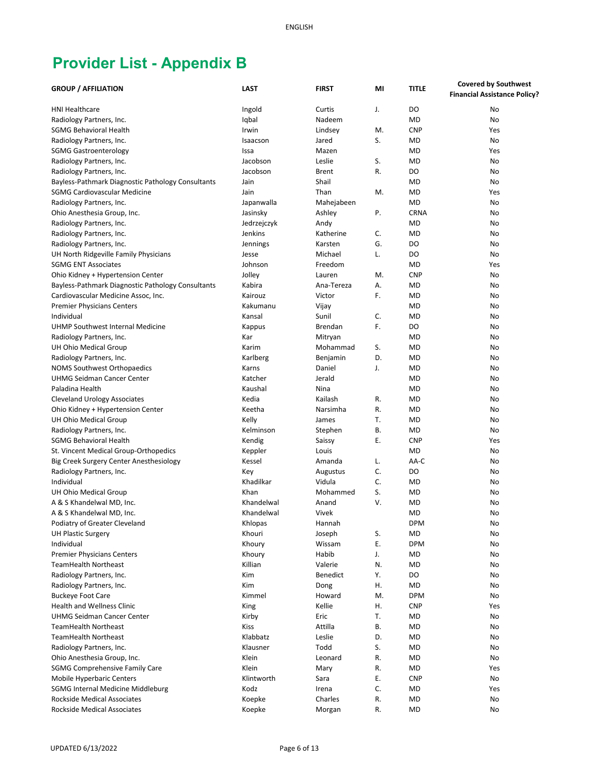| <b>GROUP / AFFILIATION</b>                        | <b>LAST</b> | <b>FIRST</b> | MI | <b>TITLE</b>   | <b>Covered by Southwest</b>         |
|---------------------------------------------------|-------------|--------------|----|----------------|-------------------------------------|
|                                                   |             |              |    |                | <b>Financial Assistance Policy?</b> |
| <b>HNI Healthcare</b>                             | Ingold      | Curtis       | J. | DO             | No                                  |
| Radiology Partners, Inc.                          | Iqbal       | Nadeem       |    | <b>MD</b>      | No                                  |
| <b>SGMG Behavioral Health</b>                     | Irwin       | Lindsey      | M. | <b>CNP</b>     | Yes                                 |
| Radiology Partners, Inc.                          | Isaacson    | Jared        | S. | <b>MD</b>      | No                                  |
| <b>SGMG Gastroenterology</b>                      | Issa        | Mazen        |    | <b>MD</b>      | Yes                                 |
| Radiology Partners, Inc.                          | Jacobson    | Leslie       | S. | <b>MD</b>      | No                                  |
| Radiology Partners, Inc.                          | Jacobson    | <b>Brent</b> | R. | DO             | No                                  |
| Bayless-Pathmark Diagnostic Pathology Consultants | Jain        | Shail        |    | <b>MD</b>      | No                                  |
| SGMG Cardiovascular Medicine                      | Jain        | Than         | M. | <b>MD</b>      | Yes                                 |
| Radiology Partners, Inc.                          | Japanwalla  | Mahejabeen   |    | <b>MD</b>      | No                                  |
|                                                   |             |              | Ρ. | <b>CRNA</b>    | No                                  |
| Ohio Anesthesia Group, Inc.                       | Jasinsky    | Ashley       |    | <b>MD</b>      | No                                  |
| Radiology Partners, Inc.                          | Jedrzejczyk | Andy         |    | <b>MD</b>      |                                     |
| Radiology Partners, Inc.                          | Jenkins     | Katherine    | C. |                | No                                  |
| Radiology Partners, Inc.                          | Jennings    | Karsten      | G. | D <sub>O</sub> | No                                  |
| UH North Ridgeville Family Physicians             | Jesse       | Michael      | L. | DO             | No                                  |
| <b>SGMG ENT Associates</b>                        | Johnson     | Freedom      |    | MD             | Yes                                 |
| Ohio Kidney + Hypertension Center                 | Jolley      | Lauren       | M. | <b>CNP</b>     | No                                  |
| Bayless-Pathmark Diagnostic Pathology Consultants | Kabira      | Ana-Tereza   | А. | <b>MD</b>      | No                                  |
| Cardiovascular Medicine Assoc, Inc.               | Kairouz     | Victor       | F. | <b>MD</b>      | No                                  |
| <b>Premier Physicians Centers</b>                 | Kakumanu    | Vijay        |    | <b>MD</b>      | No                                  |
| Individual                                        | Kansal      | Sunil        | C. | <b>MD</b>      | No                                  |
| UHMP Southwest Internal Medicine                  | Kappus      | Brendan      | F. | DO             | No                                  |
| Radiology Partners, Inc.                          | Kar         | Mitryan      |    | <b>MD</b>      | No                                  |
| UH Ohio Medical Group                             | Karim       | Mohammad     | S. | <b>MD</b>      | No                                  |
| Radiology Partners, Inc.                          | Karlberg    | Benjamin     | D. | <b>MD</b>      | No                                  |
| <b>NOMS Southwest Orthopaedics</b>                | Karns       | Daniel       | J. | <b>MD</b>      | No                                  |
| <b>UHMG Seidman Cancer Center</b>                 | Katcher     | Jerald       |    | <b>MD</b>      | No                                  |
| Paladina Health                                   | Kaushal     | Nina         |    | <b>MD</b>      | No                                  |
| <b>Cleveland Urology Associates</b>               | Kedia       | Kailash      | R. | <b>MD</b>      | No                                  |
| Ohio Kidney + Hypertension Center                 | Keetha      | Narsimha     | R. | <b>MD</b>      | No                                  |
| UH Ohio Medical Group                             | Kelly       | James        | T. | <b>MD</b>      | No                                  |
| Radiology Partners, Inc.                          | Kelminson   | Stephen      | В. | <b>MD</b>      | No                                  |
| SGMG Behavioral Health                            | Kendig      | Saissy       | Е. | <b>CNP</b>     | Yes                                 |
| St. Vincent Medical Group-Orthopedics             | Keppler     | Louis        |    | <b>MD</b>      | No                                  |
| Big Creek Surgery Center Anesthesiology           | Kessel      | Amanda       | L. | AA-C           | No                                  |
| Radiology Partners, Inc.                          | Key         | Augustus     | C. | DO             | No                                  |
| Individual                                        | Khadilkar   | Vidula       | C. | <b>MD</b>      | No                                  |
| UH Ohio Medical Group                             | Khan        | Mohammed     | S. | MD             | No                                  |
| A & S Khandelwal MD, Inc.                         | Khandelwal  | Anand        | ٧. | <b>MD</b>      | No                                  |
| A & S Khandelwal MD, Inc.                         | Khandelwal  | Vivek        |    | MD             | No                                  |
| Podiatry of Greater Cleveland                     | Khlopas     | Hannah       |    | <b>DPM</b>     | No                                  |
| <b>UH Plastic Surgery</b>                         | Khouri      | Joseph       | S. | MD             | No                                  |
| Individual                                        | Khoury      | Wissam       | Ε. | <b>DPM</b>     | No                                  |
| <b>Premier Physicians Centers</b>                 | Khoury      | Habib        | J. | <b>MD</b>      | No                                  |
| <b>TeamHealth Northeast</b>                       | Killian     | Valerie      | N. | <b>MD</b>      | No                                  |
| Radiology Partners, Inc.                          | Kim         | Benedict     | Υ. | DO             | No                                  |
| Radiology Partners, Inc.                          | Kim         | Dong         | Η. | <b>MD</b>      | No                                  |
| <b>Buckeye Foot Care</b>                          | Kimmel      | Howard       | M. | <b>DPM</b>     | No                                  |
| <b>Health and Wellness Clinic</b>                 | King        | Kellie       | Η. | <b>CNP</b>     | Yes                                 |
| <b>UHMG Seidman Cancer Center</b>                 | Kirby       | Eric         | T. | MD             | No                                  |
| <b>TeamHealth Northeast</b>                       | <b>Kiss</b> | Attilla      | В. | MD             | No                                  |
| <b>TeamHealth Northeast</b>                       | Klabbatz    | Leslie       | D. | <b>MD</b>      | No                                  |
| Radiology Partners, Inc.                          | Klausner    | Todd         | S. | <b>MD</b>      | No                                  |
| Ohio Anesthesia Group, Inc.                       | Klein       | Leonard      | R. | MD             | No                                  |
| <b>SGMG Comprehensive Family Care</b>             | Klein       | Mary         | R. | MD             | Yes                                 |
| <b>Mobile Hyperbaric Centers</b>                  | Klintworth  | Sara         | Е. | <b>CNP</b>     | No                                  |
| <b>SGMG Internal Medicine Middleburg</b>          | Kodz        | Irena        | C. | MD             | Yes                                 |
| <b>Rockside Medical Associates</b>                | Koepke      | Charles      | R. | MD             | No                                  |
| Rockside Medical Associates                       | Koepke      | Morgan       | R. | MD             | No                                  |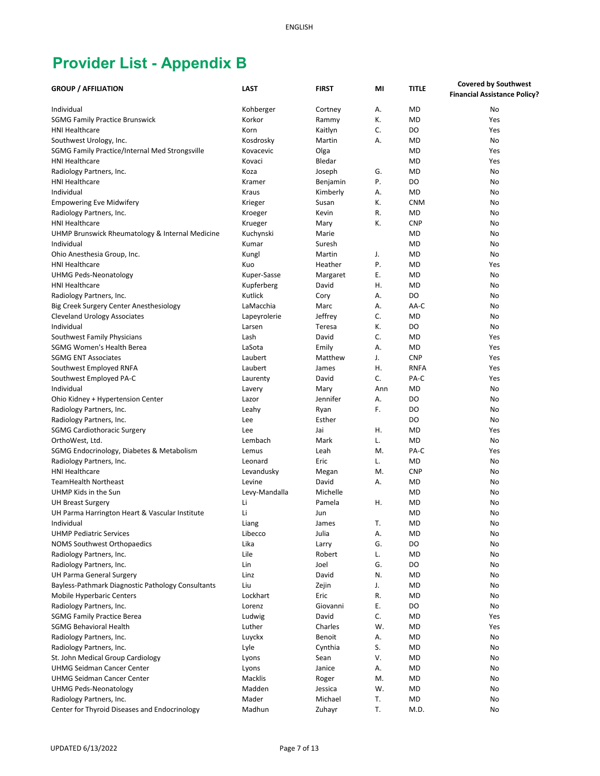| <b>GROUP / AFFILIATION</b>                        | <b>LAST</b>   | <b>FIRST</b> | MI  | <b>TITLE</b> | <b>Covered by Southwest</b>         |
|---------------------------------------------------|---------------|--------------|-----|--------------|-------------------------------------|
|                                                   |               |              |     |              | <b>Financial Assistance Policy?</b> |
| Individual                                        | Kohberger     | Cortney      | А.  | <b>MD</b>    | No                                  |
| <b>SGMG Family Practice Brunswick</b>             | Korkor        | Rammy        | К.  | <b>MD</b>    | Yes                                 |
| <b>HNI Healthcare</b>                             | Korn          | Kaitlyn      | C.  | DO           | Yes                                 |
| Southwest Urology, Inc.                           | Kosdrosky     | Martin       | А.  | <b>MD</b>    | No                                  |
| SGMG Family Practice/Internal Med Strongsville    | Kovacevic     | Olga         |     | <b>MD</b>    | Yes                                 |
| <b>HNI Healthcare</b>                             | Kovaci        | Bledar       |     | <b>MD</b>    | Yes                                 |
|                                                   |               |              |     |              |                                     |
| Radiology Partners, Inc.                          | Koza          | Joseph       | G.  | <b>MD</b>    | No                                  |
| <b>HNI Healthcare</b>                             | Kramer        | Benjamin     | Ρ.  | DO           | No                                  |
| Individual                                        | Kraus         | Kimberly     | А.  | <b>MD</b>    | No                                  |
| <b>Empowering Eve Midwifery</b>                   | Krieger       | Susan        | К.  | <b>CNM</b>   | No                                  |
| Radiology Partners, Inc.                          | Kroeger       | Kevin        | R.  | <b>MD</b>    | No                                  |
| <b>HNI Healthcare</b>                             | Krueger       | Mary         | К.  | <b>CNP</b>   | No                                  |
| UHMP Brunswick Rheumatology & Internal Medicine   | Kuchynski     | Marie        |     | MD           | No                                  |
| Individual                                        | Kumar         | Suresh       |     | <b>MD</b>    | No                                  |
| Ohio Anesthesia Group, Inc.                       | Kungl         | Martin       | J.  | <b>MD</b>    | No                                  |
| <b>HNI Healthcare</b>                             | Kuo           | Heather      | Ρ.  | MD           | Yes                                 |
| <b>UHMG Peds-Neonatology</b>                      | Kuper-Sasse   | Margaret     | Е.  | <b>MD</b>    | No                                  |
| <b>HNI Healthcare</b>                             | Kupferberg    | David        | Η.  | <b>MD</b>    | No                                  |
| Radiology Partners, Inc.                          | Kutlick       | Cory         | А.  | DO           | No                                  |
| Big Creek Surgery Center Anesthesiology           | LaMacchia     | Marc         | А.  | AA-C         | No                                  |
| <b>Cleveland Urology Associates</b>               | Lapeyrolerie  | Jeffrey      | C.  | <b>MD</b>    | No                                  |
| Individual                                        | Larsen        | Teresa       | К.  | DO           | No                                  |
| Southwest Family Physicians                       | Lash          | David        | C.  | <b>MD</b>    | Yes                                 |
| <b>SGMG Women's Health Berea</b>                  | LaSota        | Emily        | А.  | MD           | Yes                                 |
| <b>SGMG ENT Associates</b>                        | Laubert       | Matthew      | J.  | <b>CNP</b>   | Yes                                 |
| Southwest Employed RNFA                           | Laubert       | James        | Η.  | <b>RNFA</b>  | Yes                                 |
| Southwest Employed PA-C                           | Laurenty      | David        | C.  | PA-C         | Yes                                 |
| Individual                                        | Lavery        | Mary         | Ann | <b>MD</b>    | No                                  |
| Ohio Kidney + Hypertension Center                 | Lazor         | Jennifer     | А.  | DO           | No                                  |
|                                                   |               |              | F.  | DO           | No                                  |
| Radiology Partners, Inc.                          | Leahy         | Ryan         |     |              |                                     |
| Radiology Partners, Inc.                          | Lee           | Esther       |     | DO           | No                                  |
| <b>SGMG Cardiothoracic Surgery</b>                | Lee           | Jai          | Η.  | <b>MD</b>    | Yes                                 |
| OrthoWest, Ltd.                                   | Lembach       | Mark         | L.  | <b>MD</b>    | No                                  |
| SGMG Endocrinology, Diabetes & Metabolism         | Lemus         | Leah         | M.  | PA-C         | Yes                                 |
| Radiology Partners, Inc.                          | Leonard       | Eric         | L.  | <b>MD</b>    | No                                  |
| <b>HNI Healthcare</b>                             | Levandusky    | Megan        | M.  | <b>CNP</b>   | No                                  |
| <b>TeamHealth Northeast</b>                       | Levine        | David        | Α.  | MD           | No                                  |
| UHMP Kids in the Sun                              | Levy-Mandalla | Michelle     |     | MD           | No                                  |
| <b>UH Breast Surgery</b>                          | Li            | Pamela       | Η.  | MD           | No                                  |
| UH Parma Harrington Heart & Vascular Institute    | Li            | Jun          |     | MD           | No                                  |
| Individual                                        | Liang         | James        | Т.  | MD           | No                                  |
| <b>UHMP Pediatric Services</b>                    | Libecco       | Julia        | А.  | MD           | No                                  |
| <b>NOMS Southwest Orthopaedics</b>                | Lika          | Larry        | G.  | DO           | No                                  |
| Radiology Partners, Inc.                          | Lile          | Robert       | L.  | <b>MD</b>    | No                                  |
| Radiology Partners, Inc.                          | Lin           | Joel         | G.  | DO           | No                                  |
| UH Parma General Surgery                          | Linz          | David        | N.  | <b>MD</b>    | No                                  |
| Bayless-Pathmark Diagnostic Pathology Consultants | Liu           | Zejin        | J.  | MD           | No                                  |
| Mobile Hyperbaric Centers                         | Lockhart      | Eric         | R.  | <b>MD</b>    | No                                  |
| Radiology Partners, Inc.                          | Lorenz        | Giovanni     | Е.  | DO           | No                                  |
| <b>SGMG Family Practice Berea</b>                 | Ludwig        | David        | C.  | <b>MD</b>    | Yes                                 |
| <b>SGMG Behavioral Health</b>                     | Luther        | Charles      | W.  | <b>MD</b>    | Yes                                 |
| Radiology Partners, Inc.                          | Luyckx        | Benoit       | Α.  | <b>MD</b>    | No                                  |
| Radiology Partners, Inc.                          | Lyle          | Cynthia      | S.  | MD           | No                                  |
| St. John Medical Group Cardiology                 |               | Sean         | V.  | <b>MD</b>    | No                                  |
|                                                   | Lyons         |              |     |              |                                     |
| <b>UHMG Seidman Cancer Center</b>                 | Lyons         | Janice       | Α.  | <b>MD</b>    | No                                  |
| <b>UHMG Seidman Cancer Center</b>                 | Macklis       | Roger        | M.  | <b>MD</b>    | No                                  |
| <b>UHMG Peds-Neonatology</b>                      | Madden        | Jessica      | W.  | MD           | No                                  |
| Radiology Partners, Inc.                          | Mader         | Michael      | Т.  | MD           | No                                  |
| Center for Thyroid Diseases and Endocrinology     | Madhun        | Zuhayr       | T.  | M.D.         | No                                  |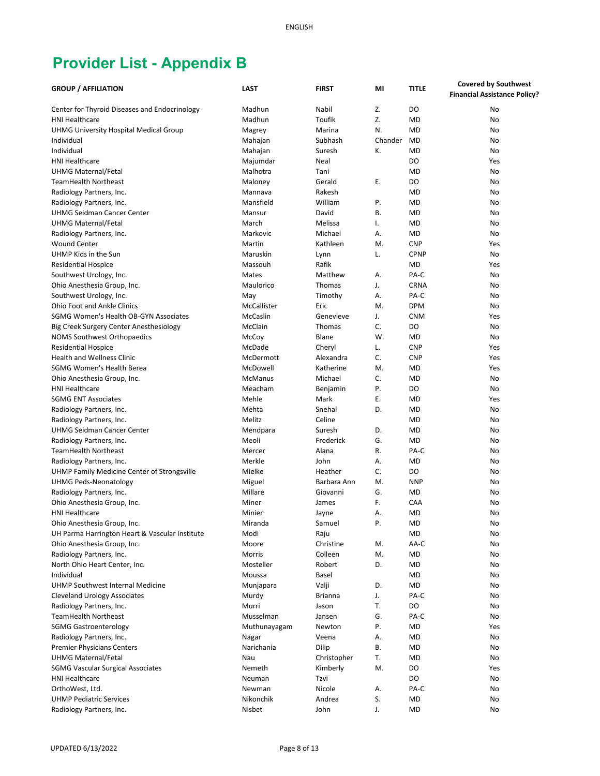|                                                | <b>LAST</b>    | <b>FIRST</b>   |         | <b>TITLE</b>   | <b>Covered by Southwest</b>         |
|------------------------------------------------|----------------|----------------|---------|----------------|-------------------------------------|
| <b>GROUP / AFFILIATION</b>                     |                |                | MI      |                | <b>Financial Assistance Policy?</b> |
| Center for Thyroid Diseases and Endocrinology  | Madhun         | Nabil          | Z.      | DO             | No                                  |
| <b>HNI Healthcare</b>                          | Madhun         | Toufik         | Z.      | <b>MD</b>      | No                                  |
| UHMG University Hospital Medical Group         |                | Marina         | N.      | <b>MD</b>      | No                                  |
|                                                | Magrey         | Subhash        | Chander | <b>MD</b>      |                                     |
| Individual                                     | Mahajan        |                |         |                | No                                  |
| Individual                                     | Mahajan        | Suresh         | К.      | <b>MD</b>      | No                                  |
| <b>HNI Healthcare</b>                          | Majumdar       | Neal           |         | D <sub>O</sub> | Yes                                 |
| <b>UHMG Maternal/Fetal</b>                     | Malhotra       | Tani           |         | <b>MD</b>      | No                                  |
| <b>TeamHealth Northeast</b>                    | Maloney        | Gerald         | Ε.      | DO             | No                                  |
| Radiology Partners, Inc.                       | Mannava        | Rakesh         |         | <b>MD</b>      | No                                  |
| Radiology Partners, Inc.                       | Mansfield      | William        | Ρ.      | <b>MD</b>      | No                                  |
| <b>UHMG Seidman Cancer Center</b>              | Mansur         | David          | В.      | <b>MD</b>      | No                                  |
| <b>UHMG Maternal/Fetal</b>                     | March          | Melissa        | Ι.      | <b>MD</b>      | No                                  |
| Radiology Partners, Inc.                       | Markovic       | Michael        | А.      | <b>MD</b>      | No                                  |
| <b>Wound Center</b>                            | Martin         | Kathleen       | M.      | <b>CNP</b>     | Yes                                 |
| UHMP Kids in the Sun                           | Maruskin       | Lynn           | L.      | <b>CPNP</b>    | No                                  |
| <b>Residential Hospice</b>                     | Massouh        | Rafik          |         | MD             | Yes                                 |
| Southwest Urology, Inc.                        | Mates          | Matthew        | А.      | PA-C           | No                                  |
| Ohio Anesthesia Group, Inc.                    | Maulorico      | Thomas         | J.      | <b>CRNA</b>    | No                                  |
| Southwest Urology, Inc.                        | May            | Timothy        | Α.      | PA-C           | No                                  |
| <b>Ohio Foot and Ankle Clinics</b>             | McCallister    | Eric           | M.      | <b>DPM</b>     | No                                  |
| SGMG Women's Health OB-GYN Associates          | McCaslin       |                |         | <b>CNM</b>     |                                     |
|                                                |                | Genevieve      | J.      |                | Yes                                 |
| Big Creek Surgery Center Anesthesiology        | McClain        | Thomas         | C.      | DO             | No                                  |
| <b>NOMS Southwest Orthopaedics</b>             | McCoy          | Blane          | W.      | <b>MD</b>      | No                                  |
| <b>Residential Hospice</b>                     | McDade         | Cheryl         | L.      | <b>CNP</b>     | Yes                                 |
| <b>Health and Wellness Clinic</b>              | McDermott      | Alexandra      | C.      | <b>CNP</b>     | Yes                                 |
| <b>SGMG Women's Health Berea</b>               | McDowell       | Katherine      | M.      | <b>MD</b>      | Yes                                 |
| Ohio Anesthesia Group, Inc.                    | <b>McManus</b> | Michael        | C.      | <b>MD</b>      | No                                  |
| <b>HNI Healthcare</b>                          | Meacham        | Benjamin       | Ρ.      | DO             | No                                  |
| <b>SGMG ENT Associates</b>                     | Mehle          | Mark           | Ε.      | <b>MD</b>      | Yes                                 |
| Radiology Partners, Inc.                       | Mehta          | Snehal         | D.      | <b>MD</b>      | No                                  |
| Radiology Partners, Inc.                       | Melitz         | Celine         |         | <b>MD</b>      | No                                  |
| <b>UHMG Seidman Cancer Center</b>              | Mendpara       | Suresh         | D.      | <b>MD</b>      | No                                  |
| Radiology Partners, Inc.                       | Meoli          | Frederick      | G.      | <b>MD</b>      | No                                  |
| <b>TeamHealth Northeast</b>                    | Mercer         | Alana          | R.      | PA-C           | No                                  |
| Radiology Partners, Inc.                       | Merkle         | John           | А.      | <b>MD</b>      | No                                  |
| UHMP Family Medicine Center of Strongsville    | Mielke         | Heather        | C.      | DO             | No                                  |
| <b>UHMG Peds-Neonatology</b>                   | Miguel         | Barbara Ann    | M.      | <b>NNP</b>     | No                                  |
| Radiology Partners, Inc.                       | Millare        | Giovanni       | G.      | <b>MD</b>      | No                                  |
| Ohio Anesthesia Group, Inc.                    | Miner          | James          | F.      | CAA            | No                                  |
| <b>HNI Healthcare</b>                          | Minier         |                | Α.      | <b>MD</b>      | No                                  |
|                                                |                | Jayne          |         |                |                                     |
| Ohio Anesthesia Group, Inc.                    | Miranda        | Samuel         | P.      | MD             | No                                  |
| UH Parma Harrington Heart & Vascular Institute | Modi           | Raju           |         | MD             | No                                  |
| Ohio Anesthesia Group, Inc.                    | Moore          | Christine      | M.      | AA-C           | No                                  |
| Radiology Partners, Inc.                       | Morris         | Colleen        | M.      | <b>MD</b>      | No                                  |
| North Ohio Heart Center, Inc.                  | Mosteller      | Robert         | D.      | MD             | No                                  |
| Individual                                     | Moussa         | Basel          |         | <b>MD</b>      | No                                  |
| UHMP Southwest Internal Medicine               | Munjapara      | Valji          | D.      | <b>MD</b>      | No                                  |
| <b>Cleveland Urology Associates</b>            | Murdy          | <b>Brianna</b> | J.      | PA-C           | No                                  |
| Radiology Partners, Inc.                       | Murri          | Jason          | T.      | DO             | No                                  |
| <b>TeamHealth Northeast</b>                    | Musselman      | Jansen         | G.      | PA-C           | No                                  |
| <b>SGMG Gastroenterology</b>                   | Muthunayagam   | Newton         | Ρ.      | <b>MD</b>      | Yes                                 |
| Radiology Partners, Inc.                       | Nagar          | Veena          | А.      | <b>MD</b>      | No                                  |
| <b>Premier Physicians Centers</b>              | Narichania     | Dilip          | В.      | <b>MD</b>      | No                                  |
| <b>UHMG Maternal/Fetal</b>                     | Nau            | Christopher    | T.      | <b>MD</b>      | No                                  |
| <b>SGMG Vascular Surgical Associates</b>       | Nemeth         | Kimberly       | M.      | DO             | Yes                                 |
| <b>HNI Healthcare</b>                          | Neuman         | Tzvi           |         | DO             | No                                  |
| OrthoWest, Ltd.                                | Newman         | Nicole         | А.      | PA-C           | No                                  |
| <b>UHMP Pediatric Services</b>                 | Nikonchik      | Andrea         | S.      | MD             | No                                  |
| Radiology Partners, Inc.                       | Nisbet         | John           | J.      | MD             | No                                  |
|                                                |                |                |         |                |                                     |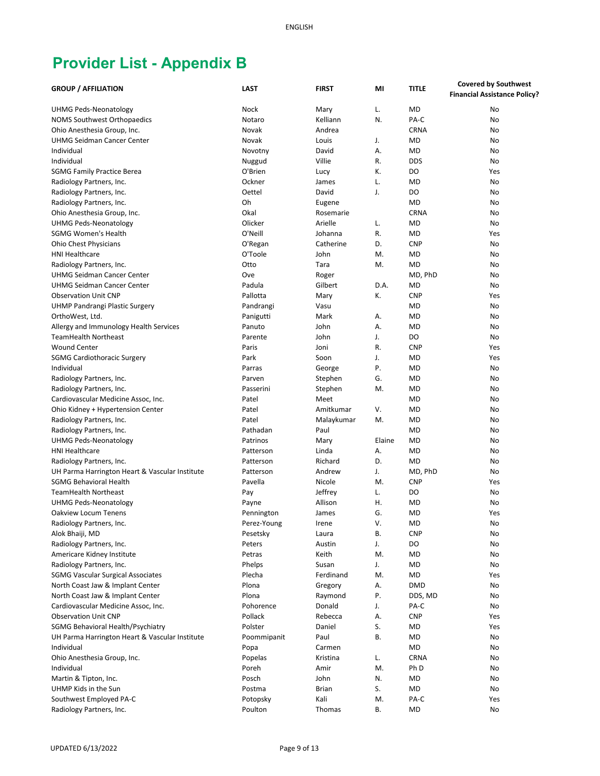| <b>GROUP / AFFILIATION</b>                                             | <b>LAST</b>        | <b>FIRST</b>    | MI     | <b>TITLE</b>         | <b>Covered by Southwest</b>         |
|------------------------------------------------------------------------|--------------------|-----------------|--------|----------------------|-------------------------------------|
|                                                                        |                    |                 |        |                      | <b>Financial Assistance Policy?</b> |
| <b>UHMG Peds-Neonatology</b>                                           | Nock               | Mary            | L.     | <b>MD</b>            | No                                  |
| <b>NOMS Southwest Orthopaedics</b>                                     | Notaro             | Kelliann        | N.     | PA-C                 | No                                  |
| Ohio Anesthesia Group, Inc.                                            | Novak              | Andrea          |        | <b>CRNA</b>          | No                                  |
| <b>UHMG Seidman Cancer Center</b>                                      | Novak              | Louis           | J.     | <b>MD</b>            | No                                  |
| Individual                                                             | Novotny            | David           | Α.     | <b>MD</b>            | No                                  |
| Individual                                                             | Nuggud             | Villie          | R.     | <b>DDS</b>           | No                                  |
| <b>SGMG Family Practice Berea</b>                                      | O'Brien            | Lucy            | К.     | DO                   | Yes                                 |
| Radiology Partners, Inc.                                               | Ockner             | James           | L.     | <b>MD</b>            | No                                  |
| Radiology Partners, Inc.                                               | Oettel             | David           | J.     | DO                   | No                                  |
| Radiology Partners, Inc.                                               | Oh                 | Eugene          |        | <b>MD</b>            | No                                  |
| Ohio Anesthesia Group, Inc.                                            | Okal               | Rosemarie       |        | <b>CRNA</b>          | No                                  |
| <b>UHMG Peds-Neonatology</b>                                           | Olicker            | Arielle         | L.     | <b>MD</b>            | No                                  |
| <b>SGMG Women's Health</b>                                             | O'Neill            | Johanna         | R.     | MD                   | Yes                                 |
|                                                                        |                    | Catherine       | D.     | <b>CNP</b>           | No                                  |
| Ohio Chest Physicians<br><b>HNI Healthcare</b>                         | O'Regan<br>O'Toole | John            | М.     | MD                   | No                                  |
| Radiology Partners, Inc.                                               | Otto               | Tara            | М.     | <b>MD</b>            | No                                  |
|                                                                        |                    |                 |        |                      |                                     |
| <b>UHMG Seidman Cancer Center</b><br><b>UHMG Seidman Cancer Center</b> | Ove<br>Padula      | Roger           | D.A.   | MD, PhD<br><b>MD</b> | No                                  |
| <b>Observation Unit CNP</b>                                            |                    | Gilbert         |        |                      | No                                  |
|                                                                        | Pallotta           | Mary            | К.     | <b>CNP</b>           | Yes                                 |
| <b>UHMP Pandrangi Plastic Surgery</b>                                  | Pandrangi          | Vasu            |        | <b>MD</b>            | No                                  |
| OrthoWest, Ltd.                                                        | Panigutti          | Mark            | Α.     | <b>MD</b>            | No                                  |
| Allergy and Immunology Health Services                                 | Panuto             | John            | А.     | MD                   | No                                  |
| <b>TeamHealth Northeast</b>                                            | Parente            | John            | J.     | DO                   | No                                  |
| <b>Wound Center</b>                                                    | Paris              | Joni            | R.     | <b>CNP</b>           | Yes                                 |
| <b>SGMG Cardiothoracic Surgery</b>                                     | Park               | Soon            | J.     | <b>MD</b>            | Yes                                 |
| Individual                                                             | Parras             | George          | Ρ.     | <b>MD</b>            | <b>No</b>                           |
| Radiology Partners, Inc.                                               | Parven             | Stephen         | G.     | <b>MD</b>            | No                                  |
| Radiology Partners, Inc.                                               | Passerini          | Stephen         | М.     | <b>MD</b>            | No                                  |
| Cardiovascular Medicine Assoc, Inc.                                    | Patel              | Meet            |        | <b>MD</b>            | No                                  |
| Ohio Kidney + Hypertension Center                                      | Patel              | Amitkumar       | V.     | <b>MD</b>            | No                                  |
| Radiology Partners, Inc.                                               | Patel              | Malaykumar      | M.     | <b>MD</b>            | No                                  |
| Radiology Partners, Inc.                                               | Pathadan           | Paul            |        | <b>MD</b>            | No                                  |
| <b>UHMG Peds-Neonatology</b>                                           | Patrinos           | Mary            | Elaine | <b>MD</b>            | No                                  |
| <b>HNI Healthcare</b>                                                  | Patterson          | Linda           | Α.     | <b>MD</b>            | No                                  |
| Radiology Partners, Inc.                                               | Patterson          | Richard         | D.     | <b>MD</b>            | No                                  |
| UH Parma Harrington Heart & Vascular Institute                         | Patterson          | Andrew          | J.     | MD, PhD              | No                                  |
| <b>SGMG Behavioral Health</b>                                          | Pavella            | Nicole          | M.     | <b>CNP</b>           | Yes                                 |
| <b>TeamHealth Northeast</b>                                            | Pay                | Jeffrey         | L.     | DO                   | No                                  |
| <b>UHMG Peds-Neonatology</b>                                           | Payne              | Allison         | Η.     | MD                   | No                                  |
| Oakview Locum Tenens                                                   | Pennington         | James           | G.     | <b>MD</b>            | Yes                                 |
| Radiology Partners, Inc.                                               | Perez-Young        | Irene           | ۷.     | MD                   | No                                  |
| Alok Bhaiji, MD                                                        | Pesetsky           | Laura           | В.     | <b>CNP</b>           | No                                  |
| Radiology Partners, Inc.<br>Americare Kidney Institute                 | Peters             | Austin<br>Keith | J.     | DO                   | No                                  |
|                                                                        | Petras             |                 | M.     | MD                   | No                                  |
| Radiology Partners, Inc.                                               | Phelps             | Susan           | J.     | MD                   | No                                  |
| <b>SGMG Vascular Surgical Associates</b>                               | Plecha             | Ferdinand       | M.     | MD                   | Yes                                 |
| North Coast Jaw & Implant Center                                       | Plona              | Gregory         | А.     | <b>DMD</b>           | No                                  |
| North Coast Jaw & Implant Center                                       | Plona              | Raymond         | Ρ.     | DDS, MD              | No                                  |
| Cardiovascular Medicine Assoc, Inc.                                    | Pohorence          | Donald          | J.     | PA-C                 | No                                  |
| <b>Observation Unit CNP</b>                                            | Pollack            | Rebecca         | А.     | <b>CNP</b>           | Yes                                 |
| SGMG Behavioral Health/Psychiatry                                      | Polster            | Daniel          | S.     | MD                   | Yes                                 |
| UH Parma Harrington Heart & Vascular Institute                         | Poommipanit        | Paul            | В.     | MD                   | No                                  |
| Individual                                                             | Popa               | Carmen          |        | MD                   | No                                  |
| Ohio Anesthesia Group, Inc.                                            | Popelas            | Kristina        | L.     | <b>CRNA</b>          | No                                  |
| Individual                                                             | Poreh              | Amir            | M.     | Ph D                 | No                                  |
| Martin & Tipton, Inc.                                                  | Posch              | John            | N.     | MD                   | No                                  |
| UHMP Kids in the Sun                                                   | Postma             | <b>Brian</b>    | S.     | MD                   | No                                  |
| Southwest Employed PA-C                                                | Potopsky           | Kali            | M.     | PA-C                 | Yes                                 |
| Radiology Partners, Inc.                                               | Poulton            | Thomas          | В.     | MD                   | No                                  |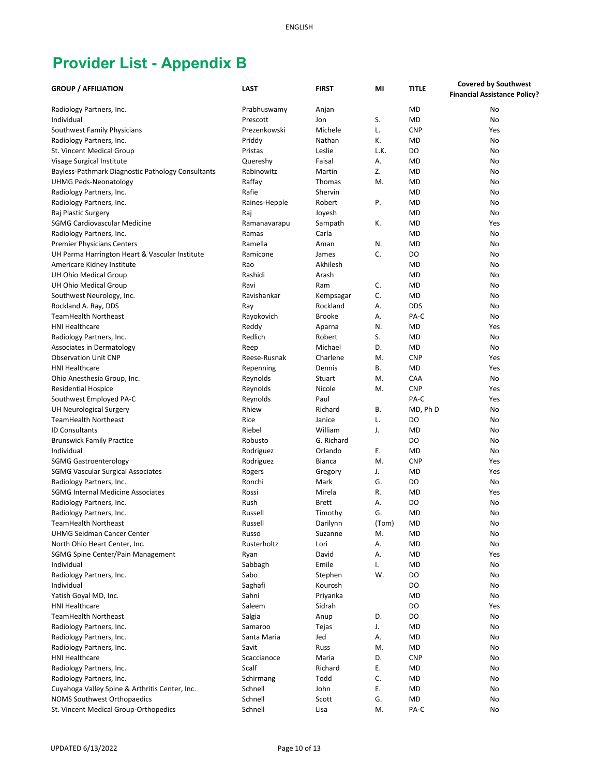| <b>GROUP / AFFILIATION</b>                                                   | <b>LAST</b>         | <b>FIRST</b>  | MI       | <b>TITLE</b>   | <b>Covered by Southwest</b>         |
|------------------------------------------------------------------------------|---------------------|---------------|----------|----------------|-------------------------------------|
|                                                                              |                     |               |          |                | <b>Financial Assistance Policy?</b> |
| Radiology Partners, Inc.                                                     | Prabhuswamy         | Anjan         |          | <b>MD</b>      | No                                  |
| Individual                                                                   | Prescott            | Jon           | S.       | <b>MD</b>      | No                                  |
| Southwest Family Physicians                                                  | Prezenkowski        | Michele       | L.       | <b>CNP</b>     | Yes                                 |
| Radiology Partners, Inc.                                                     | Priddy              | Nathan        | К.       | <b>MD</b>      | No                                  |
| St. Vincent Medical Group                                                    | Pristas             | Leslie        | L.K.     | DO             | No                                  |
| Visage Surgical Institute                                                    | Quereshy            | Faisal        | А.       | <b>MD</b>      | No                                  |
| Bayless-Pathmark Diagnostic Pathology Consultants                            | Rabinowitz          | Martin        | Z.       | <b>MD</b>      | No                                  |
| UHMG Peds-Neonatology                                                        | Raffay              | Thomas        | M.       | <b>MD</b>      | No                                  |
| Radiology Partners, Inc.                                                     | Rafie               | Shervin       |          | <b>MD</b>      | No                                  |
| Radiology Partners, Inc.                                                     | Raines-Hepple       | Robert        | Ρ.       | <b>MD</b>      | No                                  |
| Raj Plastic Surgery                                                          |                     | Joyesh        |          | <b>MD</b>      | No                                  |
| SGMG Cardiovascular Medicine                                                 | Raj<br>Ramanavarapu | Sampath       | К.       | <b>MD</b>      | Yes                                 |
|                                                                              | Ramas               | Carla         |          | <b>MD</b>      | No                                  |
| Radiology Partners, Inc.                                                     | Ramella             | Aman          | N.       | <b>MD</b>      | No                                  |
| <b>Premier Physicians Centers</b>                                            | Ramicone            | James         | C.       | DO             | No                                  |
| UH Parma Harrington Heart & Vascular Institute<br>Americare Kidney Institute | Rao                 | Akhilesh      |          | <b>MD</b>      | No                                  |
|                                                                              | Rashidi             | Arash         |          | <b>MD</b>      | No                                  |
| UH Ohio Medical Group<br>UH Ohio Medical Group                               | Ravi                |               |          | <b>MD</b>      |                                     |
|                                                                              |                     | Ram           | C.       |                | No                                  |
| Southwest Neurology, Inc.                                                    | Ravishankar         | Kempsagar     | C.       | <b>MD</b>      | No                                  |
| Rockland A. Ray, DDS<br><b>TeamHealth Northeast</b>                          | Ray                 | Rockland      | Α.       | <b>DDS</b>     | No                                  |
|                                                                              | Rayokovich          | <b>Brooke</b> | Α.       | PA-C           | No                                  |
| <b>HNI Healthcare</b>                                                        | Reddy               | Aparna        | N.       | <b>MD</b>      | Yes                                 |
| Radiology Partners, Inc.                                                     | Redlich             | Robert        | S.       | <b>MD</b>      | No                                  |
| Associates in Dermatology                                                    | Reep                | Michael       | D.       | <b>MD</b>      | No                                  |
| <b>Observation Unit CNP</b>                                                  | Reese-Rusnak        | Charlene      | M.       | <b>CNP</b>     | Yes                                 |
| <b>HNI Healthcare</b>                                                        | Repenning           | Dennis        | В.       | <b>MD</b>      | Yes                                 |
| Ohio Anesthesia Group, Inc.                                                  | Reynolds            | Stuart        | M.       | CAA            | No                                  |
| <b>Residential Hospice</b>                                                   | Reynolds            | Nicole        | M.       | <b>CNP</b>     | Yes                                 |
| Southwest Employed PA-C                                                      | Reynolds            | Paul          |          | PA-C           | Yes                                 |
| UH Neurological Surgery                                                      | Rhiew               | Richard       | В.       | MD, Ph D       | No                                  |
| <b>TeamHealth Northeast</b>                                                  | Rice                | Janice        | L.       | D <sub>O</sub> | No                                  |
| <b>ID Consultants</b>                                                        | Riebel              | William       | J.       | <b>MD</b>      | No                                  |
| <b>Brunswick Family Practice</b>                                             | Robusto             | G. Richard    |          | DO             | No                                  |
| Individual                                                                   | Rodriguez           | Orlando       | Ε.       | <b>MD</b>      | No                                  |
| <b>SGMG Gastroenterology</b>                                                 | Rodriguez           | <b>Bianca</b> | M.       | <b>CNP</b>     | Yes                                 |
| <b>SGMG Vascular Surgical Associates</b>                                     | Rogers              | Gregory       | J.       | <b>MD</b>      | Yes                                 |
| Radiology Partners, Inc.                                                     | Ronchi              | Mark          | G.       | DO             | No                                  |
| <b>SGMG Internal Medicine Associates</b>                                     | Rossi               | Mirela        | R.       | <b>MD</b>      | Yes                                 |
| Radiology Partners, Inc.                                                     | Rush                | <b>Brett</b>  | А.       | DO             | No                                  |
| Radiology Partners, Inc.                                                     | Russell             | Timothy       | G.       | <b>MD</b>      | No                                  |
| TeamHealth Northeast                                                         | Russell             | Darilynn      | (Tom)    | MD             | No                                  |
| <b>UHMG Seidman Cancer Center</b>                                            | Russo               | Suzanne       | M.       | MD             | No                                  |
| North Ohio Heart Center, Inc.                                                | Rusterholtz         | Lori          | А.       | <b>MD</b>      | No                                  |
| SGMG Spine Center/Pain Management                                            | Ryan                | David         | А.       | MD             | Yes                                 |
| Individual                                                                   | Sabbagh             | Emile         | I.       | MD             | No                                  |
| Radiology Partners, Inc.                                                     | Sabo                | Stephen       | W.       | DO             | No                                  |
| Individual                                                                   | Saghafi             | Kourosh       |          | DO             | No                                  |
| Yatish Goyal MD, Inc.                                                        | Sahni               | Priyanka      |          | <b>MD</b>      | No                                  |
| <b>HNI Healthcare</b>                                                        | Saleem              | Sidrah        |          | DO             | Yes                                 |
| <b>TeamHealth Northeast</b>                                                  | Salgia              | Anup          | D.       | DO             | No                                  |
| Radiology Partners, Inc.                                                     | Samaroo             | Tejas         | J.       | <b>MD</b>      | No                                  |
| Radiology Partners, Inc.                                                     | Santa Maria         | Jed           | А.       | <b>MD</b>      | No                                  |
| Radiology Partners, Inc.                                                     | Savit               | Russ          | M.       | MD             | No                                  |
| <b>HNI Healthcare</b>                                                        | Scaccianoce         | Maria         | D.       | <b>CNP</b>     | No                                  |
| Radiology Partners, Inc.                                                     | Scalf               | Richard       | Ε.<br>C. | MD             | No                                  |
| Radiology Partners, Inc.                                                     | Schirmang           | Todd          | Ε.       | MD             | No                                  |
| Cuyahoga Valley Spine & Arthritis Center, Inc.                               | Schnell             | John          |          | MD             | No                                  |
| <b>NOMS Southwest Orthopaedics</b>                                           | Schnell             | Scott         | G.       | MD             | No                                  |
| St. Vincent Medical Group-Orthopedics                                        | Schnell             | Lisa          | M.       | PA-C           | No                                  |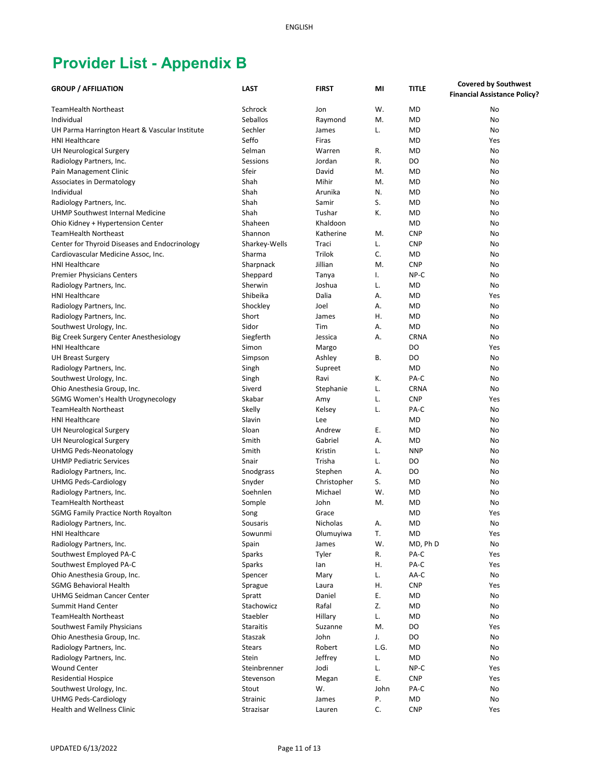|                                                           | <b>LAST</b>             | <b>FIRST</b> | MI       | <b>TITLE</b> | <b>Covered by Southwest</b>         |
|-----------------------------------------------------------|-------------------------|--------------|----------|--------------|-------------------------------------|
| <b>GROUP / AFFILIATION</b>                                |                         |              |          |              | <b>Financial Assistance Policy?</b> |
| <b>TeamHealth Northeast</b>                               | Schrock                 | Jon          | W.       | <b>MD</b>    | No                                  |
| Individual                                                | Seballos                | Raymond      | M.       | <b>MD</b>    | No                                  |
| UH Parma Harrington Heart & Vascular Institute            | Sechler                 | James        | L.       | <b>MD</b>    | No                                  |
| <b>HNI Healthcare</b>                                     | Seffo                   | Firas        |          | <b>MD</b>    | Yes                                 |
| <b>UH Neurological Surgery</b>                            | Selman                  | Warren       | R.       | <b>MD</b>    | No                                  |
| Radiology Partners, Inc.                                  | Sessions                | Jordan       | R.       | DO           | No                                  |
| Pain Management Clinic                                    | Sfeir                   | David        | М.       | <b>MD</b>    | No                                  |
| Associates in Dermatology                                 | Shah                    | Mihir        | M.       | <b>MD</b>    | No                                  |
| Individual                                                | Shah                    | Arunika      | N.       | <b>MD</b>    | No                                  |
| Radiology Partners, Inc.                                  | Shah                    | Samir        | S.       | <b>MD</b>    | No                                  |
| UHMP Southwest Internal Medicine                          | Shah                    | Tushar       | Κ.       | <b>MD</b>    | No                                  |
|                                                           | Shaheen                 | Khaldoon     |          | <b>MD</b>    | No                                  |
| Ohio Kidney + Hypertension Center<br>TeamHealth Northeast | Shannon                 | Katherine    | М.       | <b>CNP</b>   | No                                  |
|                                                           |                         | Traci        |          | <b>CNP</b>   | No                                  |
| Center for Thyroid Diseases and Endocrinology             | Sharkey-Wells<br>Sharma | Trilok       | L.<br>C. | MD           | No                                  |
| Cardiovascular Medicine Assoc, Inc.                       |                         |              |          | <b>CNP</b>   |                                     |
| <b>HNI Healthcare</b>                                     | Sharpnack               | Jillian      | M.       |              | No                                  |
| <b>Premier Physicians Centers</b>                         | Sheppard                | Tanya        | I.       | NP-C         | No                                  |
| Radiology Partners, Inc.                                  | Sherwin                 | Joshua       | L.       | <b>MD</b>    | No                                  |
| <b>HNI Healthcare</b>                                     | Shibeika                | Dalia        | А.       | <b>MD</b>    | Yes                                 |
| Radiology Partners, Inc.                                  | Shockley                | Joel         | А.       | <b>MD</b>    | No                                  |
| Radiology Partners, Inc.                                  | Short                   | James        | Η.       | <b>MD</b>    | No                                  |
| Southwest Urology, Inc.                                   | Sidor                   | Tim          | А.       | <b>MD</b>    | No                                  |
| Big Creek Surgery Center Anesthesiology                   | Siegferth               | Jessica      | Α.       | <b>CRNA</b>  | No                                  |
| <b>HNI Healthcare</b>                                     | Simon                   | Margo        |          | DO           | Yes                                 |
| <b>UH Breast Surgery</b>                                  | Simpson                 | Ashley       | В.       | DO           | No                                  |
| Radiology Partners, Inc.                                  | Singh                   | Supreet      |          | <b>MD</b>    | No                                  |
| Southwest Urology, Inc.                                   | Singh                   | Ravi         | К.       | PA-C         | No                                  |
| Ohio Anesthesia Group, Inc.                               | Siverd                  | Stephanie    | L.       | <b>CRNA</b>  | No                                  |
| SGMG Women's Health Urogynecology                         | Skabar                  | Amy          | L.       | <b>CNP</b>   | Yes                                 |
| <b>TeamHealth Northeast</b>                               | Skelly                  | Kelsey       | L.       | PA-C         | No                                  |
| <b>HNI Healthcare</b>                                     | Slavin                  | Lee          |          | <b>MD</b>    | No                                  |
| <b>UH Neurological Surgery</b>                            | Sloan                   | Andrew       | Е.       | <b>MD</b>    | No                                  |
| <b>UH Neurological Surgery</b>                            | Smith                   | Gabriel      | А.       | <b>MD</b>    | No                                  |
| <b>UHMG Peds-Neonatology</b>                              | Smith                   | Kristin      | L.       | <b>NNP</b>   | No                                  |
| <b>UHMP Pediatric Services</b>                            | Snair                   | Trisha       | L.       | DO           | No                                  |
| Radiology Partners, Inc.                                  | Snodgrass               | Stephen      | А.       | DO           | No                                  |
| <b>UHMG Peds-Cardiology</b>                               | Snyder                  | Christopher  | S.       | <b>MD</b>    | No                                  |
| Radiology Partners, Inc.                                  | Soehnlen                | Michael      | W.       | MD           | No                                  |
| <b>TeamHealth Northeast</b>                               | Somple                  | John         | М.       | <b>MD</b>    | No                                  |
| <b>SGMG Family Practice North Royalton</b>                | Song                    | Grace        |          | <b>MD</b>    | Yes                                 |
| Radiology Partners, Inc.                                  | Sousaris                | Nicholas     | А.       | MD           | No                                  |
| <b>HNI Healthcare</b>                                     | Sowunmi                 | Olumuyiwa    | T.       | MD           | Yes                                 |
| Radiology Partners, Inc.                                  | Spain                   | James        | W.       | MD, Ph D     | No                                  |
| Southwest Employed PA-C                                   | Sparks                  | Tyler        | R.       | PA-C         | Yes                                 |
| Southwest Employed PA-C                                   | Sparks                  | lan          | Η.       | PA-C         | Yes                                 |
| Ohio Anesthesia Group, Inc.                               | Spencer                 | Mary         | L.       | AA-C         | No                                  |
| <b>SGMG Behavioral Health</b>                             | Sprague                 | Laura        | Η.       | <b>CNP</b>   | Yes                                 |
| <b>UHMG Seidman Cancer Center</b>                         | Spratt                  | Daniel       | Ε.       | MD           | No                                  |
| <b>Summit Hand Center</b>                                 | Stachowicz              | Rafal        | Z.       | <b>MD</b>    | No                                  |
| <b>TeamHealth Northeast</b>                               | Staebler                | Hillary      | L.       | MD           | No                                  |
| Southwest Family Physicians                               | <b>Staraitis</b>        | Suzanne      | M.       | DO           | Yes                                 |
| Ohio Anesthesia Group, Inc.                               | Staszak                 | John         | J.       | DO           | No                                  |
| Radiology Partners, Inc.                                  | <b>Stears</b>           | Robert       | L.G.     | MD           | No                                  |
| Radiology Partners, Inc.                                  | Stein                   | Jeffrey      | L.       | MD           | No                                  |
| <b>Wound Center</b>                                       | Steinbrenner            | Jodi         | L.       | NP-C         | Yes                                 |
| <b>Residential Hospice</b>                                | Stevenson               | Megan        | Ε.       | <b>CNP</b>   | Yes                                 |
| Southwest Urology, Inc.                                   | Stout                   | W.           | John     | PA-C         | No                                  |
| <b>UHMG Peds-Cardiology</b>                               | Strainic                | James        | Ρ.       | MD           | No                                  |
| Health and Wellness Clinic                                | Strazisar               | Lauren       | C.       | <b>CNP</b>   | Yes                                 |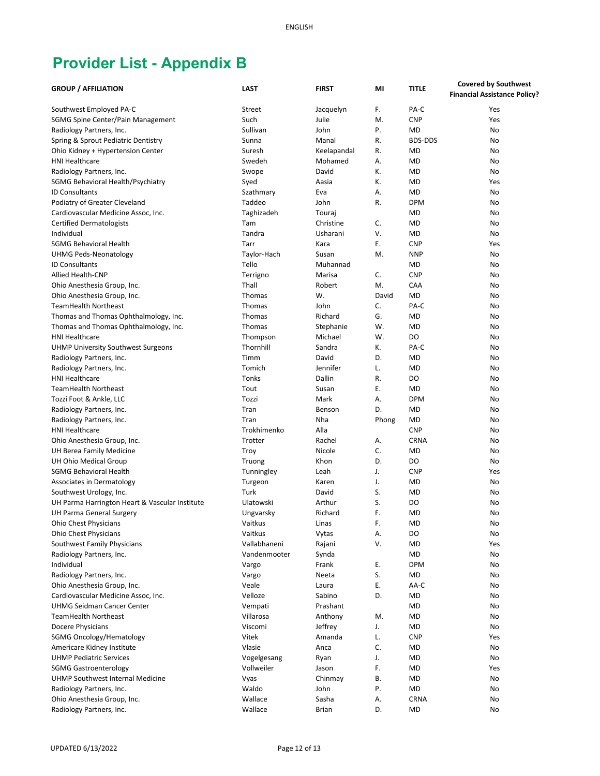| <b>GROUP / AFFILIATION</b>                     | <b>LAST</b>       | <b>FIRST</b>        | MI    | <b>TITLE</b>   | <b>Covered by Southwest</b>         |
|------------------------------------------------|-------------------|---------------------|-------|----------------|-------------------------------------|
|                                                |                   |                     |       |                | <b>Financial Assistance Policy?</b> |
| Southwest Employed PA-C                        | Street            | Jacquelyn           | F.    | PA-C           | Yes                                 |
| SGMG Spine Center/Pain Management              | Such              | Julie               | M.    | <b>CNP</b>     | Yes                                 |
| Radiology Partners, Inc.                       | Sullivan          | John                | Ρ.    | <b>MD</b>      | No                                  |
| Spring & Sprout Pediatric Dentistry            | Sunna             | Manal               | R.    | <b>BDS-DDS</b> | No                                  |
| Ohio Kidney + Hypertension Center              | Suresh            | Keelapandal         | R.    | MD             | No                                  |
| <b>HNI Healthcare</b>                          | Swedeh            | Mohamed             | А.    | <b>MD</b>      | No                                  |
| Radiology Partners, Inc.                       | Swope             | David               | К.    | <b>MD</b>      | No                                  |
| SGMG Behavioral Health/Psychiatry              | Syed              | Aasia               | К.    | <b>MD</b>      | Yes                                 |
| <b>ID Consultants</b>                          | Szathmary         | Eva                 | А.    | <b>MD</b>      | No                                  |
| Podiatry of Greater Cleveland                  | Taddeo            | John                | R.    | <b>DPM</b>     | No                                  |
|                                                |                   |                     |       | <b>MD</b>      |                                     |
| Cardiovascular Medicine Assoc, Inc.            | Taghizadeh<br>Tam | Touraj<br>Christine | C.    | <b>MD</b>      | No<br>No                            |
| <b>Certified Dermatologists</b>                | Tandra            |                     | V.    | <b>MD</b>      |                                     |
| Individual                                     |                   | Usharani            |       |                | No                                  |
| <b>SGMG Behavioral Health</b>                  | Tarr              | Kara                | Ε.    | <b>CNP</b>     | Yes                                 |
| <b>UHMG Peds-Neonatology</b>                   | Taylor-Hach       | Susan               | M.    | <b>NNP</b>     | No                                  |
| <b>ID Consultants</b>                          | Tello             | Muhannad            |       | MD             | No                                  |
| Allied Health-CNP                              | Terrigno          | Marisa              | С.    | <b>CNP</b>     | No                                  |
| Ohio Anesthesia Group, Inc.                    | Thall             | Robert              | M.    | CAA            | No                                  |
| Ohio Anesthesia Group, Inc.                    | Thomas            | W.                  | David | <b>MD</b>      | No                                  |
| <b>TeamHealth Northeast</b>                    | Thomas            | John                | C.    | PA-C           | No                                  |
| Thomas and Thomas Ophthalmology, Inc.          | Thomas            | Richard             | G.    | <b>MD</b>      | No                                  |
| Thomas and Thomas Ophthalmology, Inc.          | Thomas            | Stephanie           | W.    | <b>MD</b>      | No                                  |
| <b>HNI Healthcare</b>                          | Thompson          | Michael             | W.    | DO             | No                                  |
| <b>UHMP University Southwest Surgeons</b>      | Thornhill         | Sandra              | Κ.    | PA-C           | No                                  |
| Radiology Partners, Inc.                       | Timm              | David               | D.    | <b>MD</b>      | No                                  |
| Radiology Partners, Inc.                       | Tomich            | Jennifer            | L.    | <b>MD</b>      | No                                  |
| <b>HNI Healthcare</b>                          | Tonks             | Dallin              | R.    | DO             | No                                  |
| <b>TeamHealth Northeast</b>                    | Tout              | Susan               | Ε.    | <b>MD</b>      | No                                  |
| Tozzi Foot & Ankle, LLC                        | Tozzi             | Mark                | А.    | <b>DPM</b>     | No                                  |
| Radiology Partners, Inc.                       | Tran              | Benson              | D.    | <b>MD</b>      | No                                  |
| Radiology Partners, Inc.                       | Tran              | Nha                 | Phong | <b>MD</b>      | No                                  |
| <b>HNI Healthcare</b>                          | Trokhimenko       | Alla                |       | <b>CNP</b>     | No                                  |
| Ohio Anesthesia Group, Inc.                    | Trotter           | Rachel              | А.    | <b>CRNA</b>    | No                                  |
| UH Berea Family Medicine                       | Troy              | Nicole              | C.    | <b>MD</b>      | No                                  |
| UH Ohio Medical Group                          | Truong            | Khon                | D.    | DO             | No                                  |
| <b>SGMG Behavioral Health</b>                  | Tunningley        | Leah                | J.    | <b>CNP</b>     | Yes                                 |
| Associates in Dermatology                      | Turgeon           | Karen               | J.    | <b>MD</b>      | No                                  |
| Southwest Urology, Inc.                        | Turk              | David               | S.    | MD             | No                                  |
| UH Parma Harrington Heart & Vascular Institute | Ulatowski         | Arthur              | S.    | DO             | No                                  |
| UH Parma General Surgery                       | Ungvarsky         | Richard             | F.    | <b>MD</b>      | No                                  |
| <b>Ohio Chest Physicians</b>                   | Vaitkus           | Linas               | F.    | MD             | No                                  |
| <b>Ohio Chest Physicians</b>                   | Vaitkus           | Vytas               | Α.    | DO             | No                                  |
| Southwest Family Physicians                    | Vallabhaneni      | Rajani              | ٧.    | <b>MD</b>      | Yes                                 |
| Radiology Partners, Inc.                       | Vandenmooter      | Synda               |       | MD             | No                                  |
| Individual                                     | Vargo             | Frank               | Е.    | <b>DPM</b>     | No                                  |
| Radiology Partners, Inc.                       | Vargo             | Neeta               | S.    | MD             | No                                  |
| Ohio Anesthesia Group, Inc.                    | Veale             | Laura               | Е.    | AA-C           | No                                  |
| Cardiovascular Medicine Assoc, Inc.            | Velloze           | Sabino              | D.    | MD             | No                                  |
| <b>UHMG Seidman Cancer Center</b>              | Vempati           | Prashant            |       | <b>MD</b>      | No                                  |
| <b>TeamHealth Northeast</b>                    | Villarosa         | Anthony             | M.    | MD             | No                                  |
| Docere Physicians                              | Viscomi           | Jeffrey             | J.    | MD             | No                                  |
| SGMG Oncology/Hematology                       | Vitek             | Amanda              | L.    | <b>CNP</b>     | Yes                                 |
| Americare Kidney Institute                     | Vlasie            | Anca                | C.    | MD             | No                                  |
| <b>UHMP Pediatric Services</b>                 | Vogelgesang       | Ryan                | J.    | MD             | No                                  |
| <b>SGMG Gastroenterology</b>                   | Vollweiler        | Jason               | F.    | MD             | Yes                                 |
| UHMP Southwest Internal Medicine               | Vyas              | Chinmay             | В.    | MD             | No                                  |
| Radiology Partners, Inc.                       | Waldo             | John                | Ρ.    | MD             | No                                  |
| Ohio Anesthesia Group, Inc.                    | Wallace           | Sasha               | Α.    | <b>CRNA</b>    | No                                  |
| Radiology Partners, Inc.                       | Wallace           | <b>Brian</b>        | D.    | <b>MD</b>      | No                                  |